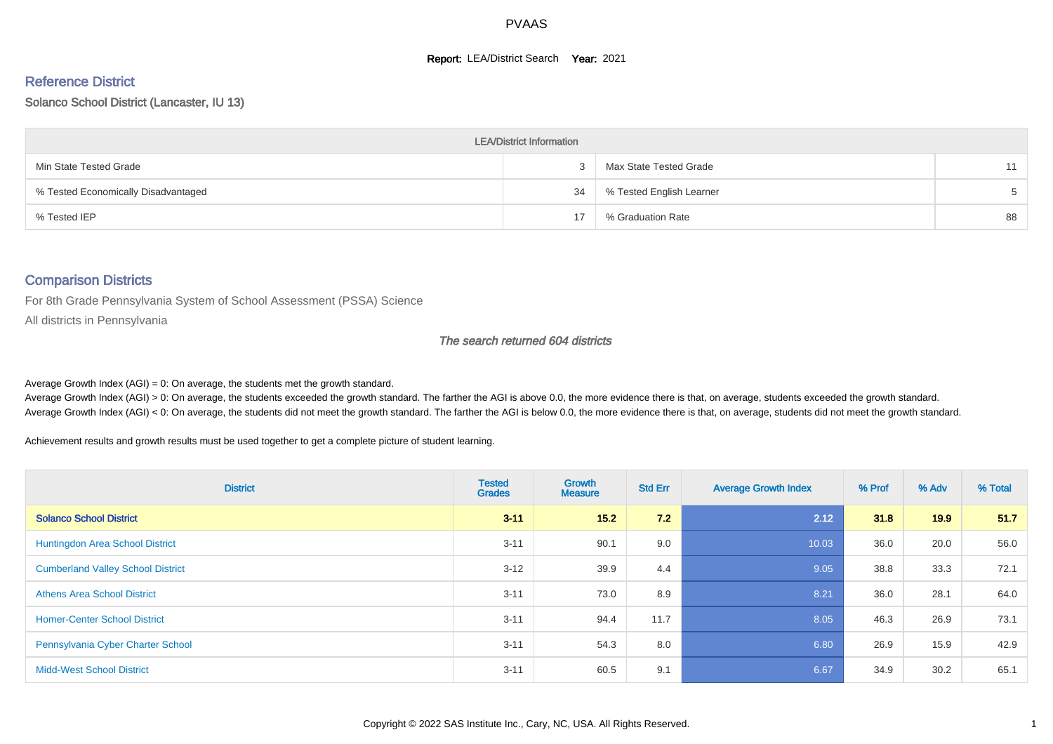#### **Report: LEA/District Search Year: 2021**

#### Reference District

#### Solanco School District (Lancaster, IU 13)

| <b>LEA/District Information</b>     |    |                          |    |  |  |  |  |  |  |
|-------------------------------------|----|--------------------------|----|--|--|--|--|--|--|
| Min State Tested Grade              |    | Max State Tested Grade   | 11 |  |  |  |  |  |  |
| % Tested Economically Disadvantaged | 34 | % Tested English Learner |    |  |  |  |  |  |  |
| % Tested IEP                        |    | % Graduation Rate        | 88 |  |  |  |  |  |  |

#### Comparison Districts

For 8th Grade Pennsylvania System of School Assessment (PSSA) Science

All districts in Pennsylvania

#### The search returned 604 districts

Average Growth Index  $(AGI) = 0$ : On average, the students met the growth standard.

Average Growth Index (AGI) > 0: On average, the students exceeded the growth standard. The farther the AGI is above 0.0, the more evidence there is that, on average, students exceeded the growth standard. Average Growth Index (AGI) < 0: On average, the students did not meet the growth standard. The farther the AGI is below 0.0, the more evidence there is that, on average, students did not meet the growth standard.

Achievement results and growth results must be used together to get a complete picture of student learning.

| <b>District</b>                          | <b>Tested</b><br><b>Grades</b> | Growth<br><b>Measure</b> | <b>Std Err</b> | <b>Average Growth Index</b> | % Prof | % Adv             | % Total |
|------------------------------------------|--------------------------------|--------------------------|----------------|-----------------------------|--------|-------------------|---------|
| <b>Solanco School District</b>           | $3 - 11$                       | 15.2                     | 7.2            | 2.12                        | 31.8   | 19.9 <sub>°</sub> | 51.7    |
| Huntingdon Area School District          | $3 - 11$                       | 90.1                     | 9.0            | 10.03                       | 36.0   | 20.0              | 56.0    |
| <b>Cumberland Valley School District</b> | $3 - 12$                       | 39.9                     | 4.4            | 9.05                        | 38.8   | 33.3              | 72.1    |
| <b>Athens Area School District</b>       | $3 - 11$                       | 73.0                     | 8.9            | 8.21                        | 36.0   | 28.1              | 64.0    |
| <b>Homer-Center School District</b>      | $3 - 11$                       | 94.4                     | 11.7           | 8.05                        | 46.3   | 26.9              | 73.1    |
| Pennsylvania Cyber Charter School        | $3 - 11$                       | 54.3                     | 8.0            | 6.80                        | 26.9   | 15.9              | 42.9    |
| <b>Midd-West School District</b>         | $3 - 11$                       | 60.5                     | 9.1            | 6.67                        | 34.9   | 30.2              | 65.1    |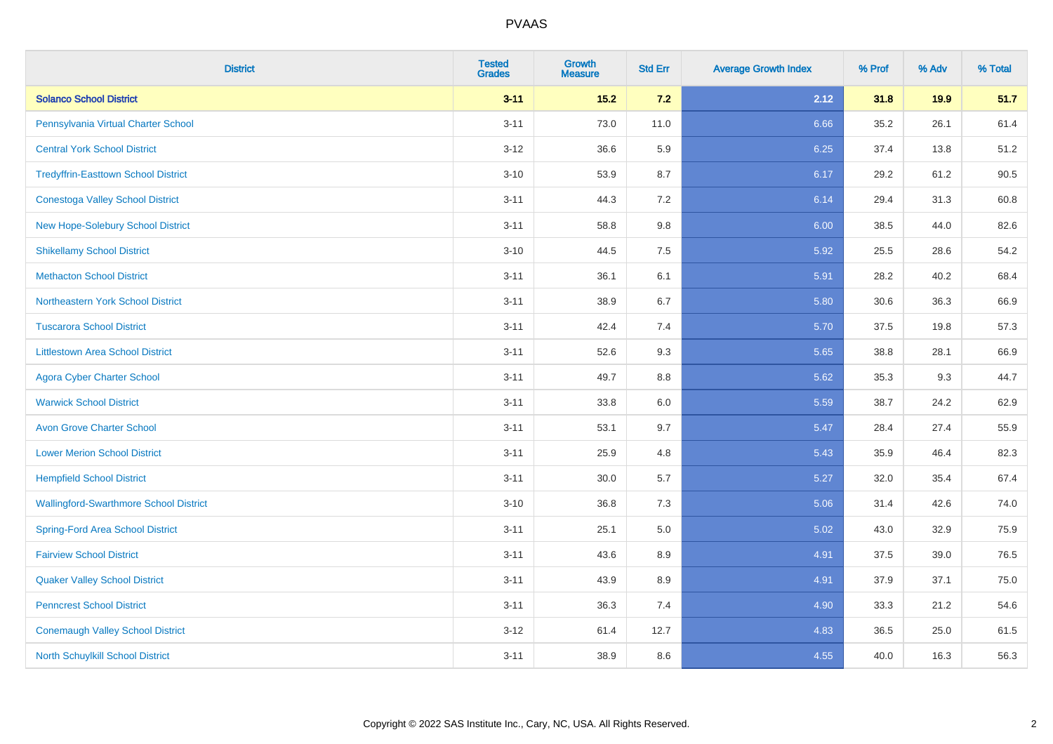| <b>District</b>                               | <b>Tested</b><br><b>Grades</b> | Growth<br><b>Measure</b> | <b>Std Err</b> | <b>Average Growth Index</b> | % Prof | % Adv | % Total |
|-----------------------------------------------|--------------------------------|--------------------------|----------------|-----------------------------|--------|-------|---------|
| <b>Solanco School District</b>                | $3 - 11$                       | $15.2$                   | $7.2$          | 2.12                        | 31.8   | 19.9  | 51.7    |
| Pennsylvania Virtual Charter School           | $3 - 11$                       | 73.0                     | 11.0           | 6.66                        | 35.2   | 26.1  | 61.4    |
| <b>Central York School District</b>           | $3 - 12$                       | 36.6                     | 5.9            | 6.25                        | 37.4   | 13.8  | 51.2    |
| <b>Tredyffrin-Easttown School District</b>    | $3 - 10$                       | 53.9                     | 8.7            | 6.17                        | 29.2   | 61.2  | 90.5    |
| <b>Conestoga Valley School District</b>       | $3 - 11$                       | 44.3                     | 7.2            | 6.14                        | 29.4   | 31.3  | 60.8    |
| New Hope-Solebury School District             | $3 - 11$                       | 58.8                     | 9.8            | 6.00                        | 38.5   | 44.0  | 82.6    |
| <b>Shikellamy School District</b>             | $3 - 10$                       | 44.5                     | 7.5            | 5.92                        | 25.5   | 28.6  | 54.2    |
| <b>Methacton School District</b>              | $3 - 11$                       | 36.1                     | 6.1            | 5.91                        | 28.2   | 40.2  | 68.4    |
| Northeastern York School District             | $3 - 11$                       | 38.9                     | 6.7            | 5.80                        | 30.6   | 36.3  | 66.9    |
| <b>Tuscarora School District</b>              | $3 - 11$                       | 42.4                     | 7.4            | 5.70                        | 37.5   | 19.8  | 57.3    |
| <b>Littlestown Area School District</b>       | $3 - 11$                       | 52.6                     | 9.3            | 5.65                        | 38.8   | 28.1  | 66.9    |
| <b>Agora Cyber Charter School</b>             | $3 - 11$                       | 49.7                     | 8.8            | 5.62                        | 35.3   | 9.3   | 44.7    |
| <b>Warwick School District</b>                | $3 - 11$                       | 33.8                     | 6.0            | 5.59                        | 38.7   | 24.2  | 62.9    |
| <b>Avon Grove Charter School</b>              | $3 - 11$                       | 53.1                     | 9.7            | 5.47                        | 28.4   | 27.4  | 55.9    |
| <b>Lower Merion School District</b>           | $3 - 11$                       | 25.9                     | 4.8            | 5.43                        | 35.9   | 46.4  | 82.3    |
| <b>Hempfield School District</b>              | $3 - 11$                       | 30.0                     | 5.7            | 5.27                        | 32.0   | 35.4  | 67.4    |
| <b>Wallingford-Swarthmore School District</b> | $3 - 10$                       | 36.8                     | 7.3            | 5.06                        | 31.4   | 42.6  | 74.0    |
| <b>Spring-Ford Area School District</b>       | $3 - 11$                       | 25.1                     | $5.0$          | 5.02                        | 43.0   | 32.9  | 75.9    |
| <b>Fairview School District</b>               | $3 - 11$                       | 43.6                     | 8.9            | 4.91                        | 37.5   | 39.0  | 76.5    |
| <b>Quaker Valley School District</b>          | $3 - 11$                       | 43.9                     | 8.9            | 4.91                        | 37.9   | 37.1  | 75.0    |
| <b>Penncrest School District</b>              | $3 - 11$                       | 36.3                     | 7.4            | 4.90                        | 33.3   | 21.2  | 54.6    |
| <b>Conemaugh Valley School District</b>       | $3 - 12$                       | 61.4                     | 12.7           | 4.83                        | 36.5   | 25.0  | 61.5    |
| North Schuylkill School District              | $3 - 11$                       | 38.9                     | 8.6            | 4.55                        | 40.0   | 16.3  | 56.3    |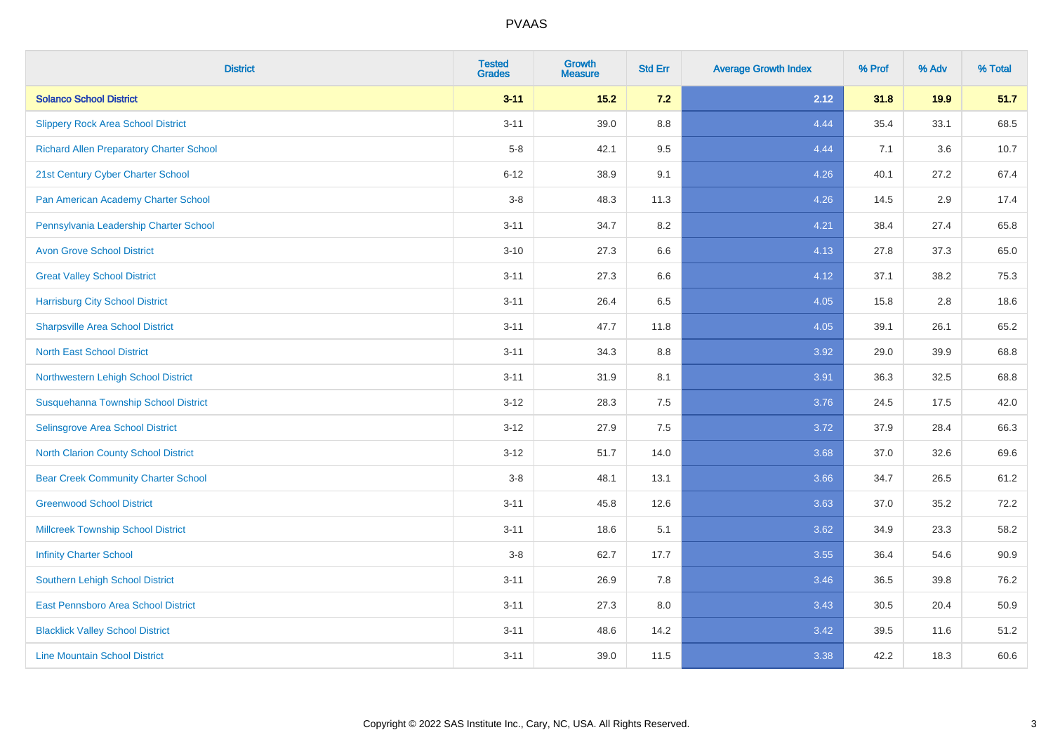| <b>District</b>                                 | <b>Tested</b><br><b>Grades</b> | Growth<br><b>Measure</b> | <b>Std Err</b> | <b>Average Growth Index</b> | % Prof | % Adv | % Total |
|-------------------------------------------------|--------------------------------|--------------------------|----------------|-----------------------------|--------|-------|---------|
| <b>Solanco School District</b>                  | $3 - 11$                       | 15.2                     | $7.2$          | 2.12                        | 31.8   | 19.9  | 51.7    |
| <b>Slippery Rock Area School District</b>       | $3 - 11$                       | 39.0                     | 8.8            | 4.44                        | 35.4   | 33.1  | 68.5    |
| <b>Richard Allen Preparatory Charter School</b> | $5-8$                          | 42.1                     | 9.5            | 4.44                        | 7.1    | 3.6   | 10.7    |
| 21st Century Cyber Charter School               | $6 - 12$                       | 38.9                     | 9.1            | 4.26                        | 40.1   | 27.2  | 67.4    |
| Pan American Academy Charter School             | $3-8$                          | 48.3                     | 11.3           | 4.26                        | 14.5   | 2.9   | 17.4    |
| Pennsylvania Leadership Charter School          | $3 - 11$                       | 34.7                     | 8.2            | 4.21                        | 38.4   | 27.4  | 65.8    |
| <b>Avon Grove School District</b>               | $3 - 10$                       | 27.3                     | 6.6            | 4.13                        | 27.8   | 37.3  | 65.0    |
| <b>Great Valley School District</b>             | $3 - 11$                       | 27.3                     | 6.6            | 4.12                        | 37.1   | 38.2  | 75.3    |
| <b>Harrisburg City School District</b>          | $3 - 11$                       | 26.4                     | 6.5            | 4.05                        | 15.8   | 2.8   | 18.6    |
| <b>Sharpsville Area School District</b>         | $3 - 11$                       | 47.7                     | 11.8           | 4.05                        | 39.1   | 26.1  | 65.2    |
| <b>North East School District</b>               | $3 - 11$                       | 34.3                     | 8.8            | 3.92                        | 29.0   | 39.9  | 68.8    |
| Northwestern Lehigh School District             | $3 - 11$                       | 31.9                     | 8.1            | 3.91                        | 36.3   | 32.5  | 68.8    |
| Susquehanna Township School District            | $3 - 12$                       | 28.3                     | 7.5            | 3.76                        | 24.5   | 17.5  | 42.0    |
| Selinsgrove Area School District                | $3 - 12$                       | 27.9                     | 7.5            | 3.72                        | 37.9   | 28.4  | 66.3    |
| North Clarion County School District            | $3 - 12$                       | 51.7                     | 14.0           | 3.68                        | 37.0   | 32.6  | 69.6    |
| <b>Bear Creek Community Charter School</b>      | $3 - 8$                        | 48.1                     | 13.1           | 3.66                        | 34.7   | 26.5  | 61.2    |
| <b>Greenwood School District</b>                | $3 - 11$                       | 45.8                     | 12.6           | 3.63                        | 37.0   | 35.2  | 72.2    |
| <b>Millcreek Township School District</b>       | $3 - 11$                       | 18.6                     | 5.1            | 3.62                        | 34.9   | 23.3  | 58.2    |
| <b>Infinity Charter School</b>                  | $3-8$                          | 62.7                     | 17.7           | 3.55                        | 36.4   | 54.6  | 90.9    |
| <b>Southern Lehigh School District</b>          | $3 - 11$                       | 26.9                     | 7.8            | 3.46                        | 36.5   | 39.8  | 76.2    |
| East Pennsboro Area School District             | $3 - 11$                       | 27.3                     | $8.0\,$        | 3.43                        | 30.5   | 20.4  | 50.9    |
| <b>Blacklick Valley School District</b>         | $3 - 11$                       | 48.6                     | 14.2           | 3.42                        | 39.5   | 11.6  | 51.2    |
| <b>Line Mountain School District</b>            | $3 - 11$                       | 39.0                     | 11.5           | 3.38                        | 42.2   | 18.3  | 60.6    |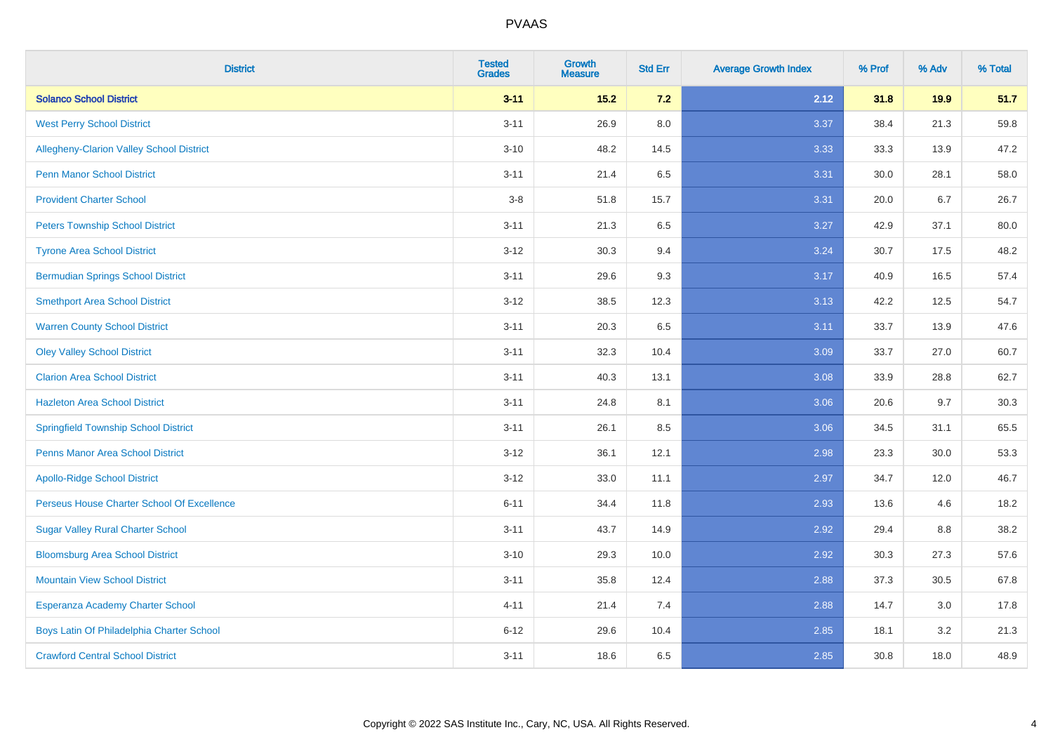| <b>District</b>                             | <b>Tested</b><br><b>Grades</b> | Growth<br><b>Measure</b> | <b>Std Err</b> | <b>Average Growth Index</b> | % Prof | % Adv | % Total |
|---------------------------------------------|--------------------------------|--------------------------|----------------|-----------------------------|--------|-------|---------|
| <b>Solanco School District</b>              | $3 - 11$                       | $15.2$                   | 7.2            | 2.12                        | 31.8   | 19.9  | 51.7    |
| <b>West Perry School District</b>           | $3 - 11$                       | 26.9                     | 8.0            | 3.37                        | 38.4   | 21.3  | 59.8    |
| Allegheny-Clarion Valley School District    | $3 - 10$                       | 48.2                     | 14.5           | 3.33                        | 33.3   | 13.9  | 47.2    |
| <b>Penn Manor School District</b>           | $3 - 11$                       | 21.4                     | 6.5            | 3.31                        | 30.0   | 28.1  | 58.0    |
| <b>Provident Charter School</b>             | $3-8$                          | 51.8                     | 15.7           | 3.31                        | 20.0   | 6.7   | 26.7    |
| <b>Peters Township School District</b>      | $3 - 11$                       | 21.3                     | 6.5            | 3.27                        | 42.9   | 37.1  | 80.0    |
| <b>Tyrone Area School District</b>          | $3 - 12$                       | 30.3                     | 9.4            | 3.24                        | 30.7   | 17.5  | 48.2    |
| <b>Bermudian Springs School District</b>    | $3 - 11$                       | 29.6                     | 9.3            | 3.17                        | 40.9   | 16.5  | 57.4    |
| <b>Smethport Area School District</b>       | $3 - 12$                       | 38.5                     | 12.3           | 3.13                        | 42.2   | 12.5  | 54.7    |
| <b>Warren County School District</b>        | $3 - 11$                       | 20.3                     | 6.5            | 3.11                        | 33.7   | 13.9  | 47.6    |
| <b>Oley Valley School District</b>          | $3 - 11$                       | 32.3                     | 10.4           | 3.09                        | 33.7   | 27.0  | 60.7    |
| <b>Clarion Area School District</b>         | $3 - 11$                       | 40.3                     | 13.1           | 3.08                        | 33.9   | 28.8  | 62.7    |
| <b>Hazleton Area School District</b>        | $3 - 11$                       | 24.8                     | 8.1            | 3.06                        | 20.6   | 9.7   | 30.3    |
| <b>Springfield Township School District</b> | $3 - 11$                       | 26.1                     | 8.5            | 3.06                        | 34.5   | 31.1  | 65.5    |
| <b>Penns Manor Area School District</b>     | $3 - 12$                       | 36.1                     | 12.1           | 2.98                        | 23.3   | 30.0  | 53.3    |
| <b>Apollo-Ridge School District</b>         | $3 - 12$                       | 33.0                     | 11.1           | 2.97                        | 34.7   | 12.0  | 46.7    |
| Perseus House Charter School Of Excellence  | $6 - 11$                       | 34.4                     | 11.8           | 2.93                        | 13.6   | 4.6   | 18.2    |
| <b>Sugar Valley Rural Charter School</b>    | $3 - 11$                       | 43.7                     | 14.9           | 2.92                        | 29.4   | 8.8   | 38.2    |
| <b>Bloomsburg Area School District</b>      | $3 - 10$                       | 29.3                     | 10.0           | 2.92                        | 30.3   | 27.3  | 57.6    |
| <b>Mountain View School District</b>        | $3 - 11$                       | 35.8                     | 12.4           | 2.88                        | 37.3   | 30.5  | 67.8    |
| Esperanza Academy Charter School            | $4 - 11$                       | 21.4                     | 7.4            | 2.88                        | 14.7   | 3.0   | 17.8    |
| Boys Latin Of Philadelphia Charter School   | $6 - 12$                       | 29.6                     | 10.4           | 2.85                        | 18.1   | 3.2   | 21.3    |
| <b>Crawford Central School District</b>     | $3 - 11$                       | 18.6                     | 6.5            | 2.85                        | 30.8   | 18.0  | 48.9    |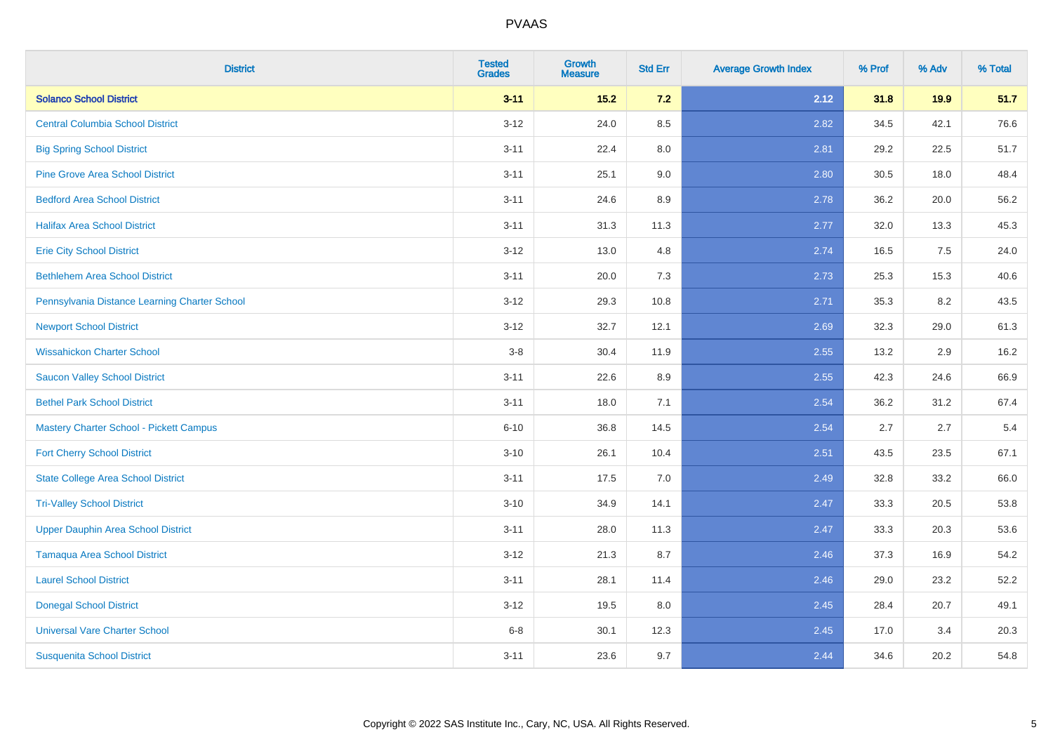| <b>District</b>                                | <b>Tested</b><br><b>Grades</b> | Growth<br><b>Measure</b> | <b>Std Err</b> | <b>Average Growth Index</b> | % Prof | % Adv | % Total |
|------------------------------------------------|--------------------------------|--------------------------|----------------|-----------------------------|--------|-------|---------|
| <b>Solanco School District</b>                 | $3 - 11$                       | $15.2$                   | 7.2            | 2.12                        | 31.8   | 19.9  | 51.7    |
| <b>Central Columbia School District</b>        | $3 - 12$                       | 24.0                     | 8.5            | 2.82                        | 34.5   | 42.1  | 76.6    |
| <b>Big Spring School District</b>              | $3 - 11$                       | 22.4                     | 8.0            | 2.81                        | 29.2   | 22.5  | 51.7    |
| <b>Pine Grove Area School District</b>         | $3 - 11$                       | 25.1                     | 9.0            | 2.80                        | 30.5   | 18.0  | 48.4    |
| <b>Bedford Area School District</b>            | $3 - 11$                       | 24.6                     | 8.9            | 2.78                        | 36.2   | 20.0  | 56.2    |
| <b>Halifax Area School District</b>            | $3 - 11$                       | 31.3                     | 11.3           | 2.77                        | 32.0   | 13.3  | 45.3    |
| <b>Erie City School District</b>               | $3 - 12$                       | 13.0                     | 4.8            | 2.74                        | 16.5   | 7.5   | 24.0    |
| <b>Bethlehem Area School District</b>          | $3 - 11$                       | 20.0                     | 7.3            | 2.73                        | 25.3   | 15.3  | 40.6    |
| Pennsylvania Distance Learning Charter School  | $3 - 12$                       | 29.3                     | 10.8           | 2.71                        | 35.3   | 8.2   | 43.5    |
| <b>Newport School District</b>                 | $3 - 12$                       | 32.7                     | 12.1           | 2.69                        | 32.3   | 29.0  | 61.3    |
| <b>Wissahickon Charter School</b>              | $3-8$                          | 30.4                     | 11.9           | 2.55                        | 13.2   | 2.9   | 16.2    |
| <b>Saucon Valley School District</b>           | $3 - 11$                       | 22.6                     | 8.9            | 2.55                        | 42.3   | 24.6  | 66.9    |
| <b>Bethel Park School District</b>             | $3 - 11$                       | 18.0                     | 7.1            | 2.54                        | 36.2   | 31.2  | 67.4    |
| <b>Mastery Charter School - Pickett Campus</b> | $6 - 10$                       | 36.8                     | 14.5           | 2.54                        | 2.7    | 2.7   | $5.4$   |
| <b>Fort Cherry School District</b>             | $3 - 10$                       | 26.1                     | 10.4           | 2.51                        | 43.5   | 23.5  | 67.1    |
| <b>State College Area School District</b>      | $3 - 11$                       | 17.5                     | 7.0            | 2.49                        | 32.8   | 33.2  | 66.0    |
| <b>Tri-Valley School District</b>              | $3 - 10$                       | 34.9                     | 14.1           | 2.47                        | 33.3   | 20.5  | 53.8    |
| <b>Upper Dauphin Area School District</b>      | $3 - 11$                       | 28.0                     | 11.3           | 2.47                        | 33.3   | 20.3  | 53.6    |
| <b>Tamaqua Area School District</b>            | $3 - 12$                       | 21.3                     | 8.7            | 2.46                        | 37.3   | 16.9  | 54.2    |
| <b>Laurel School District</b>                  | $3 - 11$                       | 28.1                     | 11.4           | 2.46                        | 29.0   | 23.2  | 52.2    |
| <b>Donegal School District</b>                 | $3 - 12$                       | 19.5                     | 8.0            | 2.45                        | 28.4   | 20.7  | 49.1    |
| <b>Universal Vare Charter School</b>           | $6 - 8$                        | 30.1                     | 12.3           | 2.45                        | 17.0   | 3.4   | 20.3    |
| <b>Susquenita School District</b>              | $3 - 11$                       | 23.6                     | 9.7            | 2.44                        | 34.6   | 20.2  | 54.8    |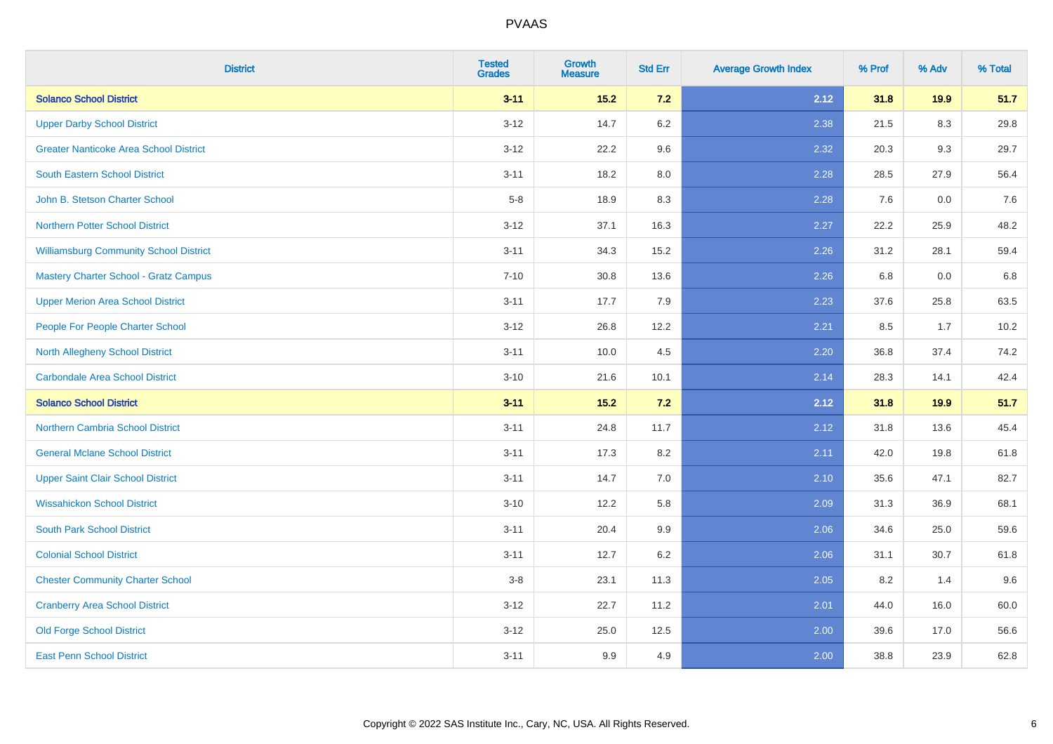| <b>District</b>                               | <b>Tested</b><br><b>Grades</b> | Growth<br><b>Measure</b> | <b>Std Err</b> | <b>Average Growth Index</b> | % Prof | % Adv | % Total |
|-----------------------------------------------|--------------------------------|--------------------------|----------------|-----------------------------|--------|-------|---------|
| <b>Solanco School District</b>                | $3 - 11$                       | $15.2$                   | 7.2            | 2.12                        | 31.8   | 19.9  | 51.7    |
| <b>Upper Darby School District</b>            | $3 - 12$                       | 14.7                     | 6.2            | 2.38                        | 21.5   | 8.3   | 29.8    |
| <b>Greater Nanticoke Area School District</b> | $3 - 12$                       | 22.2                     | 9.6            | 2.32                        | 20.3   | 9.3   | 29.7    |
| <b>South Eastern School District</b>          | $3 - 11$                       | 18.2                     | 8.0            | 2.28                        | 28.5   | 27.9  | 56.4    |
| John B. Stetson Charter School                | $5-8$                          | 18.9                     | 8.3            | 2.28                        | 7.6    | 0.0   | 7.6     |
| Northern Potter School District               | $3 - 12$                       | 37.1                     | 16.3           | 2.27                        | 22.2   | 25.9  | 48.2    |
| <b>Williamsburg Community School District</b> | $3 - 11$                       | 34.3                     | 15.2           | 2.26                        | 31.2   | 28.1  | 59.4    |
| <b>Mastery Charter School - Gratz Campus</b>  | $7 - 10$                       | 30.8                     | 13.6           | 2.26                        | 6.8    | 0.0   | 6.8     |
| <b>Upper Merion Area School District</b>      | $3 - 11$                       | 17.7                     | 7.9            | 2.23                        | 37.6   | 25.8  | 63.5    |
| People For People Charter School              | $3-12$                         | 26.8                     | 12.2           | 2.21                        | 8.5    | 1.7   | 10.2    |
| <b>North Allegheny School District</b>        | $3 - 11$                       | 10.0                     | 4.5            | 2.20                        | 36.8   | 37.4  | 74.2    |
| Carbondale Area School District               | $3 - 10$                       | 21.6                     | 10.1           | 2.14                        | 28.3   | 14.1  | 42.4    |
| <b>Solanco School District</b>                | $3 - 11$                       | $15.2$                   | 7.2            | 2.12                        | 31.8   | 19.9  | 51.7    |
| <b>Northern Cambria School District</b>       | $3 - 11$                       | 24.8                     | 11.7           | 2.12                        | 31.8   | 13.6  | 45.4    |
| <b>General Mclane School District</b>         | $3 - 11$                       | 17.3                     | 8.2            | 2.11                        | 42.0   | 19.8  | 61.8    |
| <b>Upper Saint Clair School District</b>      | $3 - 11$                       | 14.7                     | 7.0            | 2.10                        | 35.6   | 47.1  | 82.7    |
| <b>Wissahickon School District</b>            | $3 - 10$                       | 12.2                     | 5.8            | 2.09                        | 31.3   | 36.9  | 68.1    |
| <b>South Park School District</b>             | $3 - 11$                       | 20.4                     | 9.9            | 2.06                        | 34.6   | 25.0  | 59.6    |
| <b>Colonial School District</b>               | $3 - 11$                       | 12.7                     | 6.2            | 2.06                        | 31.1   | 30.7  | 61.8    |
| <b>Chester Community Charter School</b>       | $3 - 8$                        | 23.1                     | 11.3           | 2.05                        | 8.2    | 1.4   | 9.6     |
| <b>Cranberry Area School District</b>         | $3 - 12$                       | 22.7                     | 11.2           | 2.01                        | 44.0   | 16.0  | 60.0    |
| <b>Old Forge School District</b>              | $3 - 12$                       | 25.0                     | 12.5           | 2.00                        | 39.6   | 17.0  | 56.6    |
| <b>East Penn School District</b>              | $3 - 11$                       | 9.9                      | 4.9            | 2.00                        | 38.8   | 23.9  | 62.8    |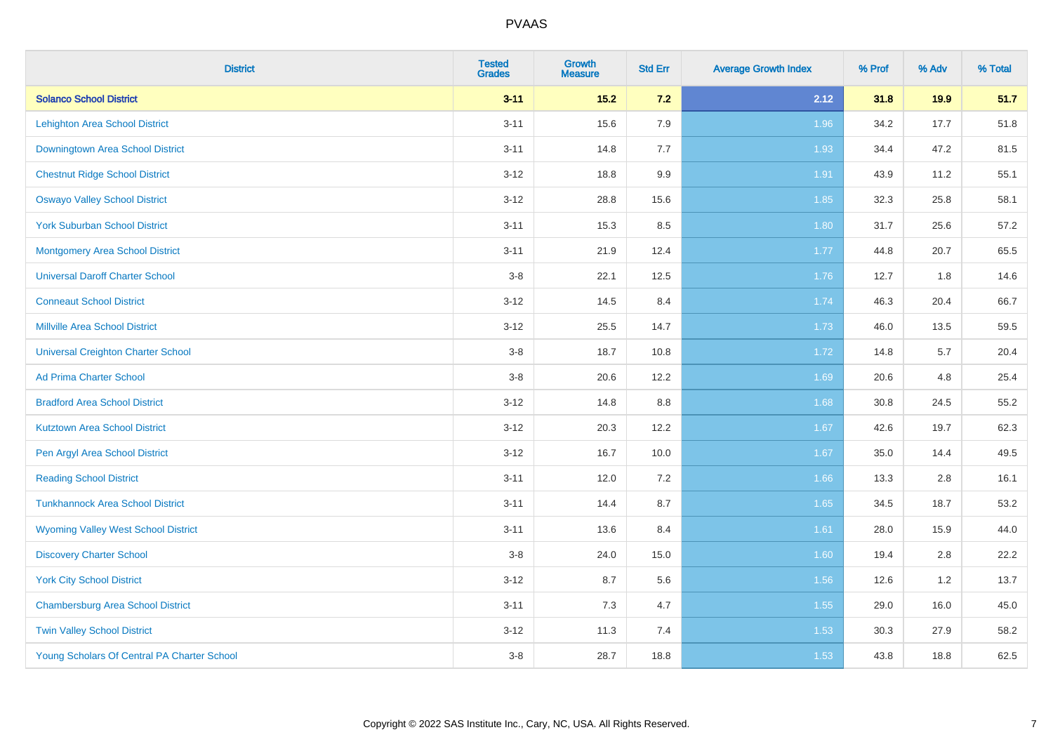| <b>District</b>                             | <b>Tested</b><br><b>Grades</b> | Growth<br><b>Measure</b> | <b>Std Err</b> | <b>Average Growth Index</b> | % Prof | % Adv | % Total |
|---------------------------------------------|--------------------------------|--------------------------|----------------|-----------------------------|--------|-------|---------|
| <b>Solanco School District</b>              | $3 - 11$                       | $15.2$                   | $7.2$          | 2.12                        | 31.8   | 19.9  | 51.7    |
| <b>Lehighton Area School District</b>       | $3 - 11$                       | 15.6                     | 7.9            | 1.96                        | 34.2   | 17.7  | 51.8    |
| Downingtown Area School District            | $3 - 11$                       | 14.8                     | 7.7            | 1.93                        | 34.4   | 47.2  | 81.5    |
| <b>Chestnut Ridge School District</b>       | $3 - 12$                       | 18.8                     | 9.9            | 1.91                        | 43.9   | 11.2  | 55.1    |
| <b>Oswayo Valley School District</b>        | $3 - 12$                       | 28.8                     | 15.6           | 1.85                        | 32.3   | 25.8  | 58.1    |
| <b>York Suburban School District</b>        | $3 - 11$                       | 15.3                     | 8.5            | 1.80                        | 31.7   | 25.6  | 57.2    |
| <b>Montgomery Area School District</b>      | $3 - 11$                       | 21.9                     | 12.4           | 1.77                        | 44.8   | 20.7  | 65.5    |
| <b>Universal Daroff Charter School</b>      | $3-8$                          | 22.1                     | 12.5           | 1.76                        | 12.7   | 1.8   | 14.6    |
| <b>Conneaut School District</b>             | $3 - 12$                       | 14.5                     | 8.4            | 1.74                        | 46.3   | 20.4  | 66.7    |
| <b>Millville Area School District</b>       | $3 - 12$                       | 25.5                     | 14.7           | 1.73                        | 46.0   | 13.5  | 59.5    |
| <b>Universal Creighton Charter School</b>   | $3-8$                          | 18.7                     | 10.8           | 1.72                        | 14.8   | 5.7   | 20.4    |
| <b>Ad Prima Charter School</b>              | $3-8$                          | 20.6                     | 12.2           | 1.69                        | 20.6   | 4.8   | 25.4    |
| <b>Bradford Area School District</b>        | $3 - 12$                       | 14.8                     | 8.8            | 1.68                        | 30.8   | 24.5  | 55.2    |
| <b>Kutztown Area School District</b>        | $3 - 12$                       | 20.3                     | 12.2           | 1.67                        | 42.6   | 19.7  | 62.3    |
| Pen Argyl Area School District              | $3 - 12$                       | 16.7                     | 10.0           | 1.67                        | 35.0   | 14.4  | 49.5    |
| <b>Reading School District</b>              | $3 - 11$                       | 12.0                     | 7.2            | 1.66                        | 13.3   | 2.8   | 16.1    |
| <b>Tunkhannock Area School District</b>     | $3 - 11$                       | 14.4                     | 8.7            | 1.65                        | 34.5   | 18.7  | 53.2    |
| <b>Wyoming Valley West School District</b>  | $3 - 11$                       | 13.6                     | 8.4            | 1.61                        | 28.0   | 15.9  | 44.0    |
| <b>Discovery Charter School</b>             | $3-8$                          | 24.0                     | 15.0           | 1.60                        | 19.4   | 2.8   | 22.2    |
| <b>York City School District</b>            | $3 - 12$                       | 8.7                      | 5.6            | 1.56                        | 12.6   | 1.2   | 13.7    |
| <b>Chambersburg Area School District</b>    | $3 - 11$                       | 7.3                      | 4.7            | $1.55$                      | 29.0   | 16.0  | 45.0    |
| <b>Twin Valley School District</b>          | $3 - 12$                       | 11.3                     | 7.4            | 1.53                        | 30.3   | 27.9  | 58.2    |
| Young Scholars Of Central PA Charter School | $3 - 8$                        | 28.7                     | 18.8           | 1.53                        | 43.8   | 18.8  | 62.5    |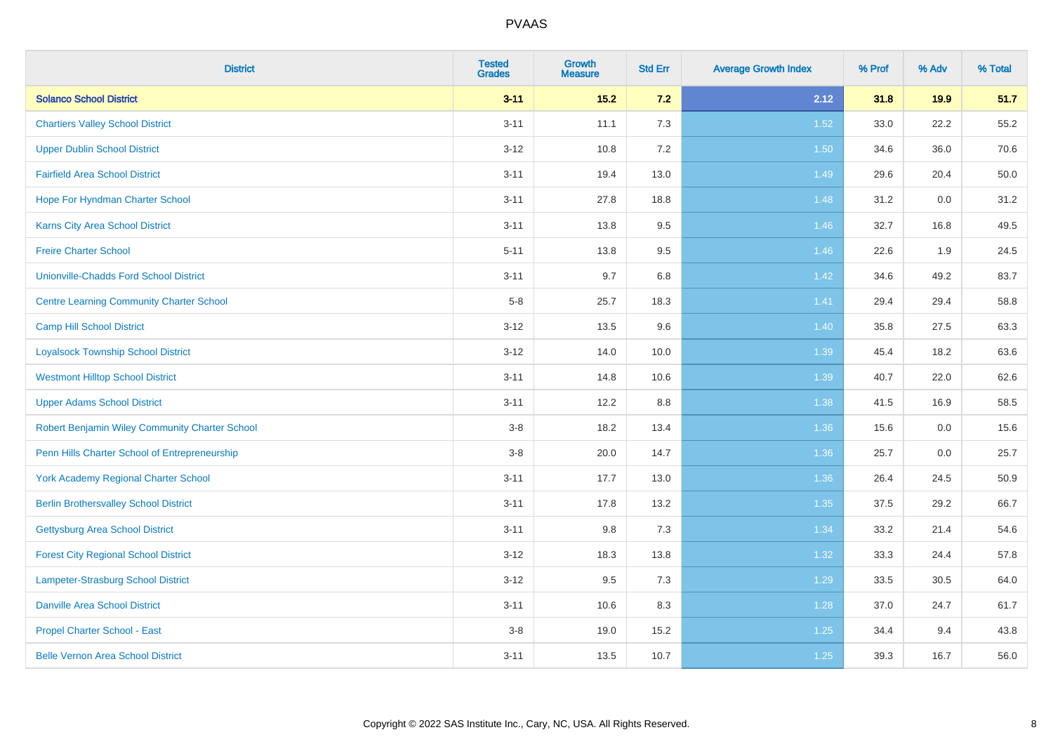| <b>District</b>                                 | <b>Tested</b><br><b>Grades</b> | <b>Growth</b><br><b>Measure</b> | <b>Std Err</b> | <b>Average Growth Index</b> | % Prof | % Adv | % Total |
|-------------------------------------------------|--------------------------------|---------------------------------|----------------|-----------------------------|--------|-------|---------|
| <b>Solanco School District</b>                  | $3 - 11$                       | $15.2$                          | 7.2            | 2.12                        | 31.8   | 19.9  | 51.7    |
| <b>Chartiers Valley School District</b>         | $3 - 11$                       | 11.1                            | 7.3            | 1.52                        | 33.0   | 22.2  | 55.2    |
| <b>Upper Dublin School District</b>             | $3 - 12$                       | 10.8                            | 7.2            | 1.50                        | 34.6   | 36.0  | 70.6    |
| <b>Fairfield Area School District</b>           | $3 - 11$                       | 19.4                            | 13.0           | 1.49                        | 29.6   | 20.4  | 50.0    |
| Hope For Hyndman Charter School                 | $3 - 11$                       | 27.8                            | 18.8           | 1.48                        | 31.2   | 0.0   | 31.2    |
| Karns City Area School District                 | $3 - 11$                       | 13.8                            | $9.5\,$        | 1.46                        | 32.7   | 16.8  | 49.5    |
| <b>Freire Charter School</b>                    | $5 - 11$                       | 13.8                            | 9.5            | 1.46                        | 22.6   | 1.9   | 24.5    |
| <b>Unionville-Chadds Ford School District</b>   | $3 - 11$                       | 9.7                             | 6.8            | 1.42                        | 34.6   | 49.2  | 83.7    |
| <b>Centre Learning Community Charter School</b> | $5-8$                          | 25.7                            | 18.3           | 1.41                        | 29.4   | 29.4  | 58.8    |
| <b>Camp Hill School District</b>                | $3 - 12$                       | 13.5                            | 9.6            | 1.40                        | 35.8   | 27.5  | 63.3    |
| <b>Loyalsock Township School District</b>       | $3 - 12$                       | 14.0                            | 10.0           | 1.39                        | 45.4   | 18.2  | 63.6    |
| <b>Westmont Hilltop School District</b>         | $3 - 11$                       | 14.8                            | 10.6           | 1.39                        | 40.7   | 22.0  | 62.6    |
| <b>Upper Adams School District</b>              | $3 - 11$                       | 12.2                            | 8.8            | 1.38                        | 41.5   | 16.9  | 58.5    |
| Robert Benjamin Wiley Community Charter School  | $3-8$                          | 18.2                            | 13.4           | 1.36                        | 15.6   | 0.0   | 15.6    |
| Penn Hills Charter School of Entrepreneurship   | $3 - 8$                        | 20.0                            | 14.7           | 1.36                        | 25.7   | 0.0   | 25.7    |
| <b>York Academy Regional Charter School</b>     | $3 - 11$                       | 17.7                            | 13.0           | 1.36                        | 26.4   | 24.5  | 50.9    |
| <b>Berlin Brothersvalley School District</b>    | $3 - 11$                       | 17.8                            | 13.2           | 1.35                        | 37.5   | 29.2  | 66.7    |
| <b>Gettysburg Area School District</b>          | $3 - 11$                       | 9.8                             | 7.3            | 1.34                        | 33.2   | 21.4  | 54.6    |
| <b>Forest City Regional School District</b>     | $3 - 12$                       | 18.3                            | 13.8           | 1.32                        | 33.3   | 24.4  | 57.8    |
| Lampeter-Strasburg School District              | $3 - 12$                       | 9.5                             | 7.3            | 1.29                        | 33.5   | 30.5  | 64.0    |
| <b>Danville Area School District</b>            | $3 - 11$                       | 10.6                            | 8.3            | 1.28                        | 37.0   | 24.7  | 61.7    |
| <b>Propel Charter School - East</b>             | $3-8$                          | 19.0                            | 15.2           | $1.25$                      | 34.4   | 9.4   | 43.8    |
| <b>Belle Vernon Area School District</b>        | $3 - 11$                       | 13.5                            | 10.7           | $1.25$                      | 39.3   | 16.7  | 56.0    |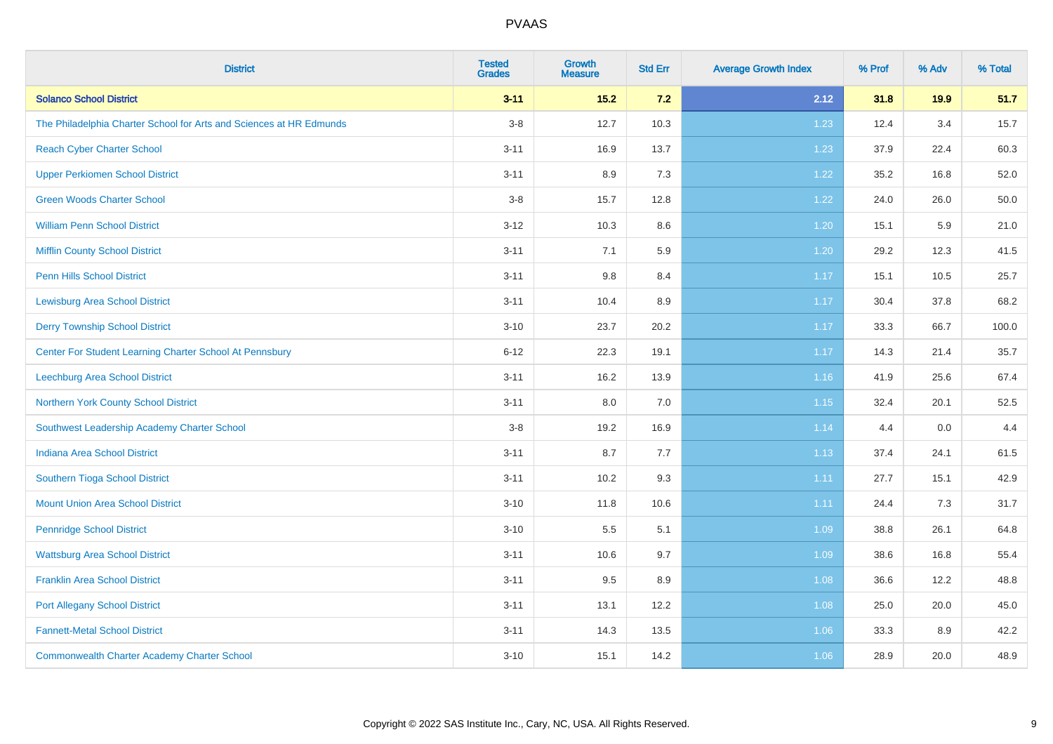| <b>District</b>                                                     | <b>Tested</b><br><b>Grades</b> | Growth<br><b>Measure</b> | <b>Std Err</b> | <b>Average Growth Index</b> | % Prof | % Adv | % Total |
|---------------------------------------------------------------------|--------------------------------|--------------------------|----------------|-----------------------------|--------|-------|---------|
| <b>Solanco School District</b>                                      | $3 - 11$                       | $15.2$                   | 7.2            | 2.12                        | 31.8   | 19.9  | 51.7    |
| The Philadelphia Charter School for Arts and Sciences at HR Edmunds | $3-8$                          | 12.7                     | 10.3           | 1.23                        | 12.4   | 3.4   | 15.7    |
| <b>Reach Cyber Charter School</b>                                   | $3 - 11$                       | 16.9                     | 13.7           | 1.23                        | 37.9   | 22.4  | 60.3    |
| <b>Upper Perkiomen School District</b>                              | $3 - 11$                       | 8.9                      | 7.3            | 1.22                        | 35.2   | 16.8  | 52.0    |
| <b>Green Woods Charter School</b>                                   | $3 - 8$                        | 15.7                     | 12.8           | 1.22                        | 24.0   | 26.0  | 50.0    |
| <b>William Penn School District</b>                                 | $3 - 12$                       | 10.3                     | 8.6            | 1.20                        | 15.1   | 5.9   | 21.0    |
| <b>Mifflin County School District</b>                               | $3 - 11$                       | 7.1                      | 5.9            | 1.20                        | 29.2   | 12.3  | 41.5    |
| <b>Penn Hills School District</b>                                   | $3 - 11$                       | $9.8\,$                  | 8.4            | 1.17                        | 15.1   | 10.5  | 25.7    |
| <b>Lewisburg Area School District</b>                               | $3 - 11$                       | 10.4                     | 8.9            | 1.17                        | 30.4   | 37.8  | 68.2    |
| <b>Derry Township School District</b>                               | $3 - 10$                       | 23.7                     | 20.2           | 1.17                        | 33.3   | 66.7  | 100.0   |
| Center For Student Learning Charter School At Pennsbury             | $6 - 12$                       | 22.3                     | 19.1           | 1.17                        | 14.3   | 21.4  | 35.7    |
| Leechburg Area School District                                      | $3 - 11$                       | 16.2                     | 13.9           | 1.16                        | 41.9   | 25.6  | 67.4    |
| Northern York County School District                                | $3 - 11$                       | 8.0                      | 7.0            | 1.15                        | 32.4   | 20.1  | 52.5    |
| Southwest Leadership Academy Charter School                         | $3 - 8$                        | 19.2                     | 16.9           | 1.14                        | 4.4    | 0.0   | 4.4     |
| <b>Indiana Area School District</b>                                 | $3 - 11$                       | 8.7                      | 7.7            | 1.13                        | 37.4   | 24.1  | 61.5    |
| Southern Tioga School District                                      | $3 - 11$                       | 10.2                     | 9.3            | 1.11                        | 27.7   | 15.1  | 42.9    |
| <b>Mount Union Area School District</b>                             | $3 - 10$                       | 11.8                     | 10.6           | 1.11                        | 24.4   | 7.3   | 31.7    |
| <b>Pennridge School District</b>                                    | $3 - 10$                       | 5.5                      | 5.1            | 1.09                        | 38.8   | 26.1  | 64.8    |
| <b>Wattsburg Area School District</b>                               | $3 - 11$                       | 10.6                     | 9.7            | 1.09                        | 38.6   | 16.8  | 55.4    |
| <b>Franklin Area School District</b>                                | $3 - 11$                       | 9.5                      | 8.9            | 1.08                        | 36.6   | 12.2  | 48.8    |
| <b>Port Allegany School District</b>                                | $3 - 11$                       | 13.1                     | 12.2           | 1.08                        | 25.0   | 20.0  | 45.0    |
| <b>Fannett-Metal School District</b>                                | $3 - 11$                       | 14.3                     | 13.5           | 1.06                        | 33.3   | 8.9   | 42.2    |
| <b>Commonwealth Charter Academy Charter School</b>                  | $3 - 10$                       | 15.1                     | 14.2           | 1.06                        | 28.9   | 20.0  | 48.9    |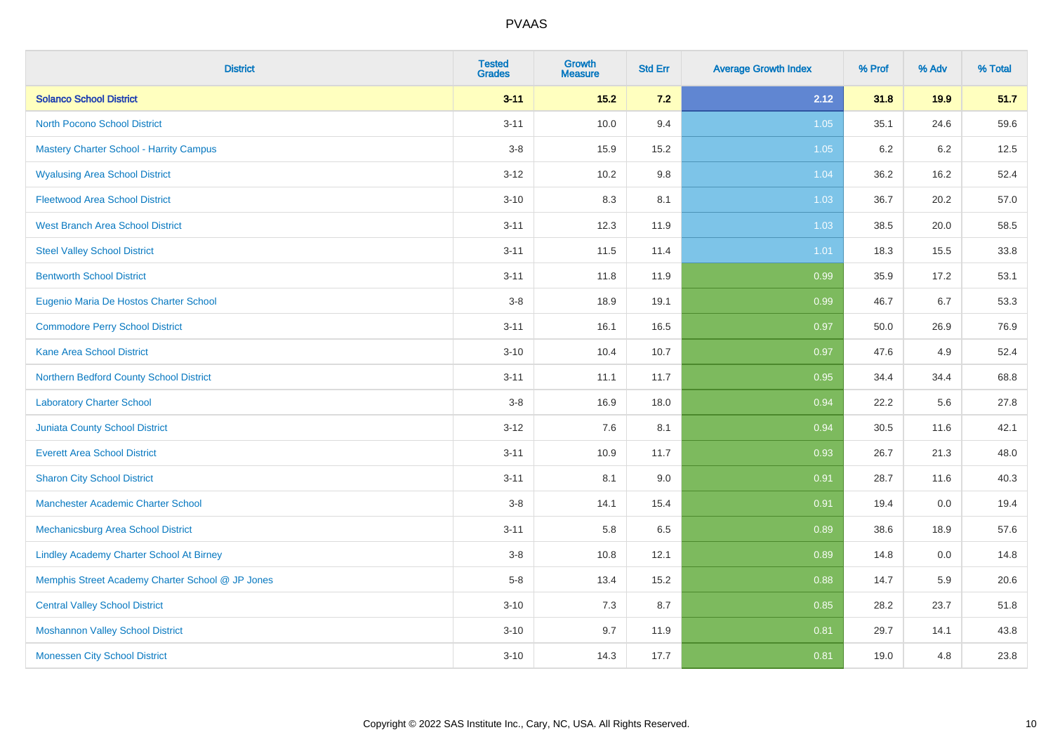| <b>District</b>                                  | <b>Tested</b><br><b>Grades</b> | Growth<br><b>Measure</b> | <b>Std Err</b> | <b>Average Growth Index</b> | % Prof  | % Adv | % Total |
|--------------------------------------------------|--------------------------------|--------------------------|----------------|-----------------------------|---------|-------|---------|
| <b>Solanco School District</b>                   | $3 - 11$                       | $15.2$                   | $7.2$          | 2.12                        | 31.8    | 19.9  | 51.7    |
| <b>North Pocono School District</b>              | $3 - 11$                       | 10.0                     | 9.4            | $1.05$                      | 35.1    | 24.6  | 59.6    |
| <b>Mastery Charter School - Harrity Campus</b>   | $3 - 8$                        | 15.9                     | 15.2           | 1.05                        | $6.2\,$ | 6.2   | 12.5    |
| <b>Wyalusing Area School District</b>            | $3 - 12$                       | 10.2                     | 9.8            | 1.04                        | 36.2    | 16.2  | 52.4    |
| <b>Fleetwood Area School District</b>            | $3 - 10$                       | 8.3                      | 8.1            | 1.03                        | 36.7    | 20.2  | 57.0    |
| <b>West Branch Area School District</b>          | $3 - 11$                       | 12.3                     | 11.9           | 1.03                        | 38.5    | 20.0  | 58.5    |
| <b>Steel Valley School District</b>              | $3 - 11$                       | 11.5                     | 11.4           | 1.01                        | 18.3    | 15.5  | 33.8    |
| <b>Bentworth School District</b>                 | $3 - 11$                       | 11.8                     | 11.9           | 0.99                        | 35.9    | 17.2  | 53.1    |
| Eugenio Maria De Hostos Charter School           | $3-8$                          | 18.9                     | 19.1           | 0.99                        | 46.7    | 6.7   | 53.3    |
| <b>Commodore Perry School District</b>           | $3 - 11$                       | 16.1                     | 16.5           | 0.97                        | 50.0    | 26.9  | 76.9    |
| <b>Kane Area School District</b>                 | $3 - 10$                       | 10.4                     | 10.7           | 0.97                        | 47.6    | 4.9   | 52.4    |
| Northern Bedford County School District          | $3 - 11$                       | 11.1                     | 11.7           | 0.95                        | 34.4    | 34.4  | 68.8    |
| <b>Laboratory Charter School</b>                 | $3 - 8$                        | 16.9                     | 18.0           | 0.94                        | 22.2    | 5.6   | 27.8    |
| Juniata County School District                   | $3 - 12$                       | 7.6                      | 8.1            | 0.94                        | 30.5    | 11.6  | 42.1    |
| <b>Everett Area School District</b>              | $3 - 11$                       | 10.9                     | 11.7           | 0.93                        | 26.7    | 21.3  | 48.0    |
| <b>Sharon City School District</b>               | $3 - 11$                       | 8.1                      | 9.0            | 0.91                        | 28.7    | 11.6  | 40.3    |
| Manchester Academic Charter School               | $3 - 8$                        | 14.1                     | 15.4           | 0.91                        | 19.4    | 0.0   | 19.4    |
| <b>Mechanicsburg Area School District</b>        | $3 - 11$                       | 5.8                      | 6.5            | 0.89                        | 38.6    | 18.9  | 57.6    |
| <b>Lindley Academy Charter School At Birney</b>  | $3 - 8$                        | 10.8                     | 12.1           | 0.89                        | 14.8    | 0.0   | 14.8    |
| Memphis Street Academy Charter School @ JP Jones | $5-8$                          | 13.4                     | 15.2           | 0.88                        | 14.7    | 5.9   | 20.6    |
| <b>Central Valley School District</b>            | $3 - 10$                       | 7.3                      | 8.7            | 0.85                        | 28.2    | 23.7  | 51.8    |
| <b>Moshannon Valley School District</b>          | $3 - 10$                       | 9.7                      | 11.9           | 0.81                        | 29.7    | 14.1  | 43.8    |
| <b>Monessen City School District</b>             | $3 - 10$                       | 14.3                     | 17.7           | 0.81                        | 19.0    | 4.8   | 23.8    |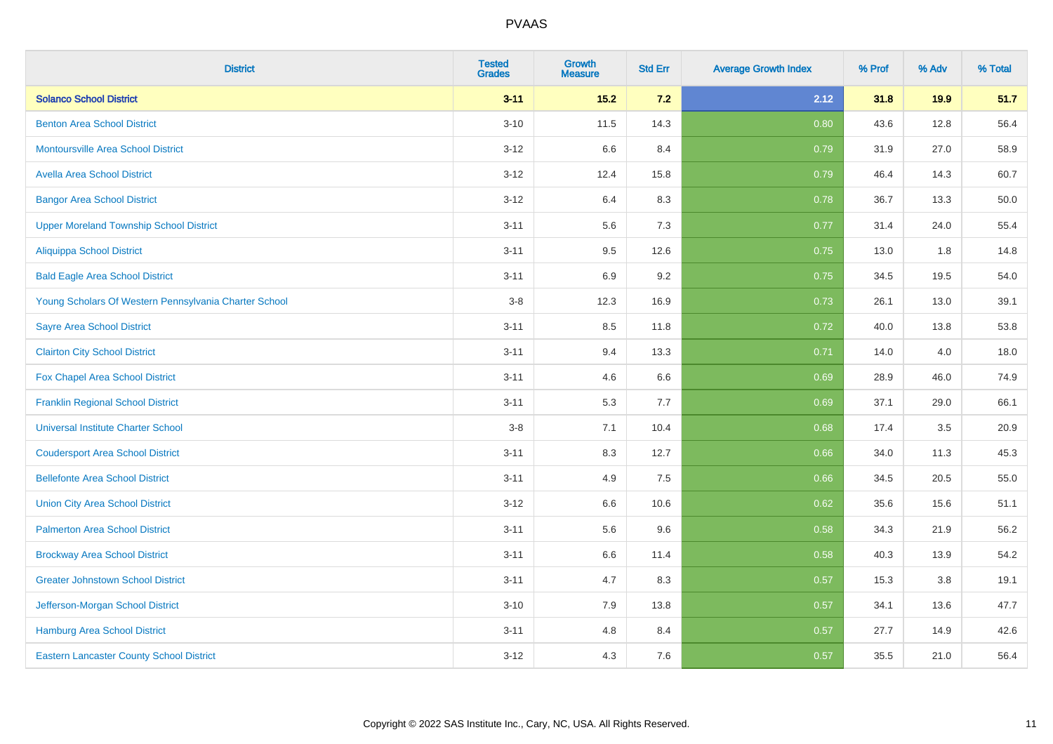| <b>District</b>                                       | <b>Tested</b><br><b>Grades</b> | Growth<br><b>Measure</b> | <b>Std Err</b> | <b>Average Growth Index</b> | % Prof | % Adv | % Total |
|-------------------------------------------------------|--------------------------------|--------------------------|----------------|-----------------------------|--------|-------|---------|
| <b>Solanco School District</b>                        | $3 - 11$                       | $15.2$                   | 7.2            | 2.12                        | 31.8   | 19.9  | 51.7    |
| <b>Benton Area School District</b>                    | $3 - 10$                       | 11.5                     | 14.3           | 0.80                        | 43.6   | 12.8  | 56.4    |
| <b>Montoursville Area School District</b>             | $3 - 12$                       | 6.6                      | 8.4            | 0.79                        | 31.9   | 27.0  | 58.9    |
| <b>Avella Area School District</b>                    | $3 - 12$                       | 12.4                     | 15.8           | 0.79                        | 46.4   | 14.3  | 60.7    |
| <b>Bangor Area School District</b>                    | $3 - 12$                       | 6.4                      | 8.3            | 0.78                        | 36.7   | 13.3  | 50.0    |
| <b>Upper Moreland Township School District</b>        | $3 - 11$                       | 5.6                      | 7.3            | 0.77                        | 31.4   | 24.0  | 55.4    |
| <b>Aliquippa School District</b>                      | $3 - 11$                       | 9.5                      | 12.6           | 0.75                        | 13.0   | 1.8   | 14.8    |
| <b>Bald Eagle Area School District</b>                | $3 - 11$                       | 6.9                      | 9.2            | 0.75                        | 34.5   | 19.5  | 54.0    |
| Young Scholars Of Western Pennsylvania Charter School | $3 - 8$                        | 12.3                     | 16.9           | 0.73                        | 26.1   | 13.0  | 39.1    |
| <b>Sayre Area School District</b>                     | $3 - 11$                       | 8.5                      | 11.8           | 0.72                        | 40.0   | 13.8  | 53.8    |
| <b>Clairton City School District</b>                  | $3 - 11$                       | 9.4                      | 13.3           | 0.71                        | 14.0   | 4.0   | 18.0    |
| Fox Chapel Area School District                       | $3 - 11$                       | 4.6                      | 6.6            | 0.69                        | 28.9   | 46.0  | 74.9    |
| <b>Franklin Regional School District</b>              | $3 - 11$                       | 5.3                      | 7.7            | 0.69                        | 37.1   | 29.0  | 66.1    |
| <b>Universal Institute Charter School</b>             | $3-8$                          | 7.1                      | 10.4           | 0.68                        | 17.4   | 3.5   | 20.9    |
| <b>Coudersport Area School District</b>               | $3 - 11$                       | 8.3                      | 12.7           | 0.66                        | 34.0   | 11.3  | 45.3    |
| <b>Bellefonte Area School District</b>                | $3 - 11$                       | 4.9                      | 7.5            | 0.66                        | 34.5   | 20.5  | 55.0    |
| <b>Union City Area School District</b>                | $3 - 12$                       | 6.6                      | 10.6           | 0.62                        | 35.6   | 15.6  | 51.1    |
| <b>Palmerton Area School District</b>                 | $3 - 11$                       | 5.6                      | 9.6            | 0.58                        | 34.3   | 21.9  | 56.2    |
| <b>Brockway Area School District</b>                  | $3 - 11$                       | 6.6                      | 11.4           | 0.58                        | 40.3   | 13.9  | 54.2    |
| <b>Greater Johnstown School District</b>              | $3 - 11$                       | 4.7                      | 8.3            | 0.57                        | 15.3   | 3.8   | 19.1    |
| Jefferson-Morgan School District                      | $3 - 10$                       | 7.9                      | 13.8           | 0.57                        | 34.1   | 13.6  | 47.7    |
| <b>Hamburg Area School District</b>                   | $3 - 11$                       | 4.8                      | 8.4            | 0.57                        | 27.7   | 14.9  | 42.6    |
| <b>Eastern Lancaster County School District</b>       | $3 - 12$                       | 4.3                      | 7.6            | 0.57                        | 35.5   | 21.0  | 56.4    |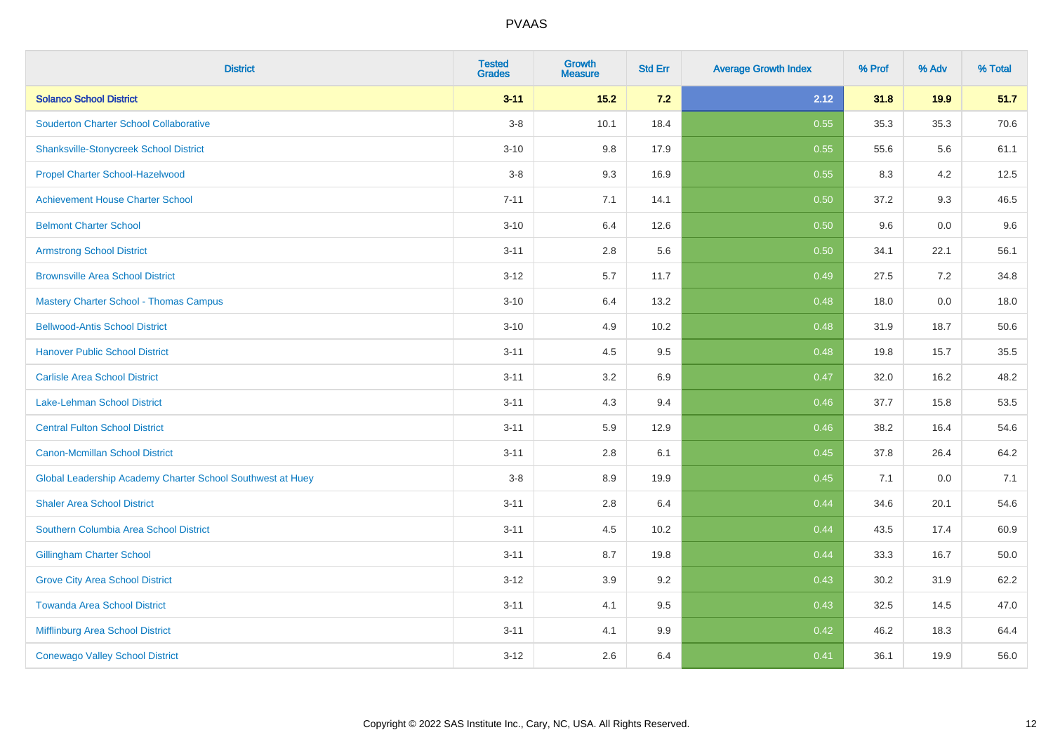| <b>District</b>                                            | <b>Tested</b><br><b>Grades</b> | <b>Growth</b><br><b>Measure</b> | <b>Std Err</b> | <b>Average Growth Index</b> | % Prof | % Adv | % Total |
|------------------------------------------------------------|--------------------------------|---------------------------------|----------------|-----------------------------|--------|-------|---------|
| <b>Solanco School District</b>                             | $3 - 11$                       | 15.2                            | $7.2$          | 2.12                        | 31.8   | 19.9  | 51.7    |
| <b>Souderton Charter School Collaborative</b>              | $3-8$                          | 10.1                            | 18.4           | 0.55                        | 35.3   | 35.3  | 70.6    |
| <b>Shanksville-Stonycreek School District</b>              | $3 - 10$                       | 9.8                             | 17.9           | 0.55                        | 55.6   | 5.6   | 61.1    |
| Propel Charter School-Hazelwood                            | $3-8$                          | 9.3                             | 16.9           | 0.55                        | 8.3    | 4.2   | 12.5    |
| <b>Achievement House Charter School</b>                    | $7 - 11$                       | 7.1                             | 14.1           | 0.50                        | 37.2   | 9.3   | 46.5    |
| <b>Belmont Charter School</b>                              | $3 - 10$                       | 6.4                             | 12.6           | 0.50                        | 9.6    | 0.0   | 9.6     |
| <b>Armstrong School District</b>                           | $3 - 11$                       | $2.8\,$                         | 5.6            | 0.50                        | 34.1   | 22.1  | 56.1    |
| <b>Brownsville Area School District</b>                    | $3 - 12$                       | 5.7                             | 11.7           | 0.49                        | 27.5   | 7.2   | 34.8    |
| <b>Mastery Charter School - Thomas Campus</b>              | $3 - 10$                       | 6.4                             | 13.2           | 0.48                        | 18.0   | 0.0   | 18.0    |
| <b>Bellwood-Antis School District</b>                      | $3 - 10$                       | 4.9                             | 10.2           | 0.48                        | 31.9   | 18.7  | 50.6    |
| <b>Hanover Public School District</b>                      | $3 - 11$                       | 4.5                             | 9.5            | 0.48                        | 19.8   | 15.7  | 35.5    |
| <b>Carlisle Area School District</b>                       | $3 - 11$                       | 3.2                             | 6.9            | 0.47                        | 32.0   | 16.2  | 48.2    |
| Lake-Lehman School District                                | $3 - 11$                       | 4.3                             | 9.4            | 0.46                        | 37.7   | 15.8  | 53.5    |
| <b>Central Fulton School District</b>                      | $3 - 11$                       | 5.9                             | 12.9           | 0.46                        | 38.2   | 16.4  | 54.6    |
| <b>Canon-Mcmillan School District</b>                      | $3 - 11$                       | 2.8                             | 6.1            | 0.45                        | 37.8   | 26.4  | 64.2    |
| Global Leadership Academy Charter School Southwest at Huey | $3-8$                          | 8.9                             | 19.9           | 0.45                        | 7.1    | 0.0   | 7.1     |
| <b>Shaler Area School District</b>                         | $3 - 11$                       | 2.8                             | 6.4            | 0.44                        | 34.6   | 20.1  | 54.6    |
| Southern Columbia Area School District                     | $3 - 11$                       | 4.5                             | 10.2           | 0.44                        | 43.5   | 17.4  | 60.9    |
| <b>Gillingham Charter School</b>                           | $3 - 11$                       | 8.7                             | 19.8           | 0.44                        | 33.3   | 16.7  | 50.0    |
| <b>Grove City Area School District</b>                     | $3 - 12$                       | 3.9                             | 9.2            | 0.43                        | 30.2   | 31.9  | 62.2    |
| <b>Towanda Area School District</b>                        | $3 - 11$                       | 4.1                             | 9.5            | 0.43                        | 32.5   | 14.5  | 47.0    |
| <b>Mifflinburg Area School District</b>                    | $3 - 11$                       | 4.1                             | 9.9            | 0.42                        | 46.2   | 18.3  | 64.4    |
| <b>Conewago Valley School District</b>                     | $3 - 12$                       | 2.6                             | 6.4            | 0.41                        | 36.1   | 19.9  | 56.0    |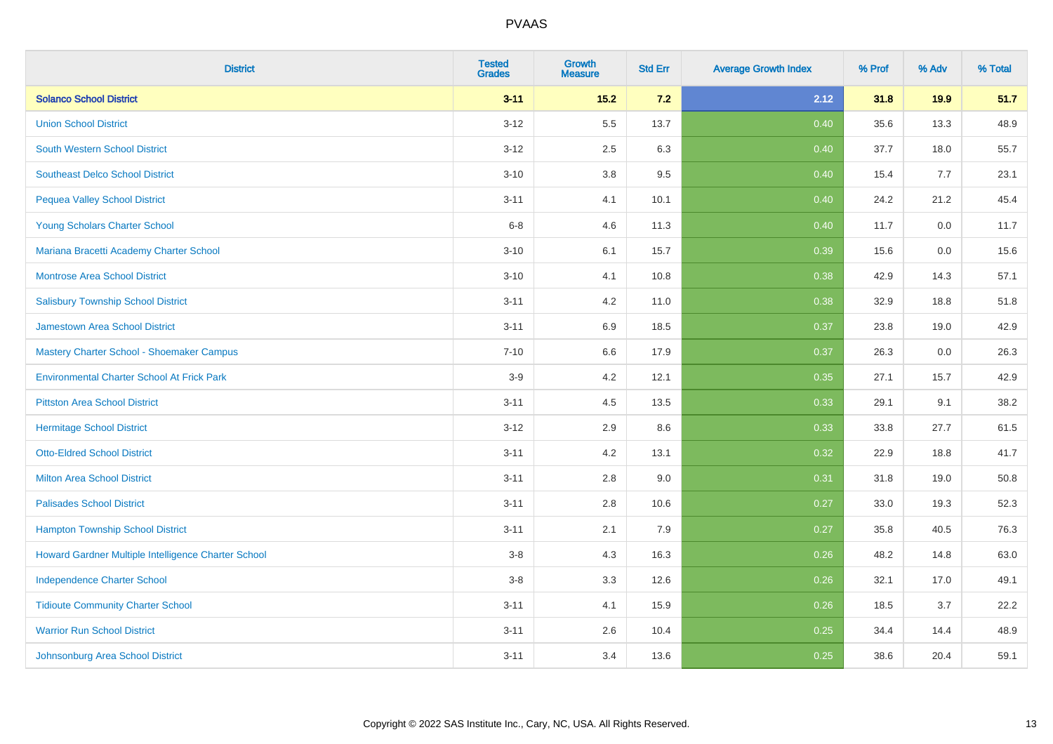| <b>District</b>                                     | <b>Tested</b><br><b>Grades</b> | <b>Growth</b><br><b>Measure</b> | <b>Std Err</b> | <b>Average Growth Index</b> | % Prof | % Adv | % Total |
|-----------------------------------------------------|--------------------------------|---------------------------------|----------------|-----------------------------|--------|-------|---------|
| <b>Solanco School District</b>                      | $3 - 11$                       | $15.2$                          | 7.2            | 2.12                        | 31.8   | 19.9  | 51.7    |
| <b>Union School District</b>                        | $3 - 12$                       | 5.5                             | 13.7           | 0.40                        | 35.6   | 13.3  | 48.9    |
| <b>South Western School District</b>                | $3 - 12$                       | 2.5                             | 6.3            | 0.40                        | 37.7   | 18.0  | 55.7    |
| <b>Southeast Delco School District</b>              | $3 - 10$                       | $3.8\,$                         | 9.5            | 0.40                        | 15.4   | 7.7   | 23.1    |
| <b>Pequea Valley School District</b>                | $3 - 11$                       | 4.1                             | 10.1           | 0.40                        | 24.2   | 21.2  | 45.4    |
| Young Scholars Charter School                       | $6 - 8$                        | 4.6                             | 11.3           | 0.40                        | 11.7   | 0.0   | 11.7    |
| Mariana Bracetti Academy Charter School             | $3 - 10$                       | 6.1                             | 15.7           | 0.39                        | 15.6   | 0.0   | 15.6    |
| <b>Montrose Area School District</b>                | $3 - 10$                       | 4.1                             | 10.8           | 0.38                        | 42.9   | 14.3  | 57.1    |
| <b>Salisbury Township School District</b>           | $3 - 11$                       | 4.2                             | 11.0           | 0.38                        | 32.9   | 18.8  | 51.8    |
| <b>Jamestown Area School District</b>               | $3 - 11$                       | 6.9                             | 18.5           | 0.37                        | 23.8   | 19.0  | 42.9    |
| Mastery Charter School - Shoemaker Campus           | $7 - 10$                       | 6.6                             | 17.9           | 0.37                        | 26.3   | 0.0   | 26.3    |
| <b>Environmental Charter School At Frick Park</b>   | $3-9$                          | 4.2                             | 12.1           | 0.35                        | 27.1   | 15.7  | 42.9    |
| <b>Pittston Area School District</b>                | $3 - 11$                       | 4.5                             | 13.5           | 0.33                        | 29.1   | 9.1   | 38.2    |
| <b>Hermitage School District</b>                    | $3 - 12$                       | 2.9                             | 8.6            | 0.33                        | 33.8   | 27.7  | 61.5    |
| <b>Otto-Eldred School District</b>                  | $3 - 11$                       | 4.2                             | 13.1           | 0.32                        | 22.9   | 18.8  | 41.7    |
| <b>Milton Area School District</b>                  | $3 - 11$                       | 2.8                             | 9.0            | 0.31                        | 31.8   | 19.0  | 50.8    |
| <b>Palisades School District</b>                    | $3 - 11$                       | 2.8                             | 10.6           | 0.27                        | 33.0   | 19.3  | 52.3    |
| <b>Hampton Township School District</b>             | $3 - 11$                       | 2.1                             | 7.9            | 0.27                        | 35.8   | 40.5  | 76.3    |
| Howard Gardner Multiple Intelligence Charter School | $3-8$                          | 4.3                             | 16.3           | 0.26                        | 48.2   | 14.8  | 63.0    |
| <b>Independence Charter School</b>                  | $3-8$                          | 3.3                             | 12.6           | 0.26                        | 32.1   | 17.0  | 49.1    |
| <b>Tidioute Community Charter School</b>            | $3 - 11$                       | 4.1                             | 15.9           | 0.26                        | 18.5   | 3.7   | 22.2    |
| <b>Warrior Run School District</b>                  | $3 - 11$                       | 2.6                             | 10.4           | 0.25                        | 34.4   | 14.4  | 48.9    |
| Johnsonburg Area School District                    | $3 - 11$                       | 3.4                             | 13.6           | 0.25                        | 38.6   | 20.4  | 59.1    |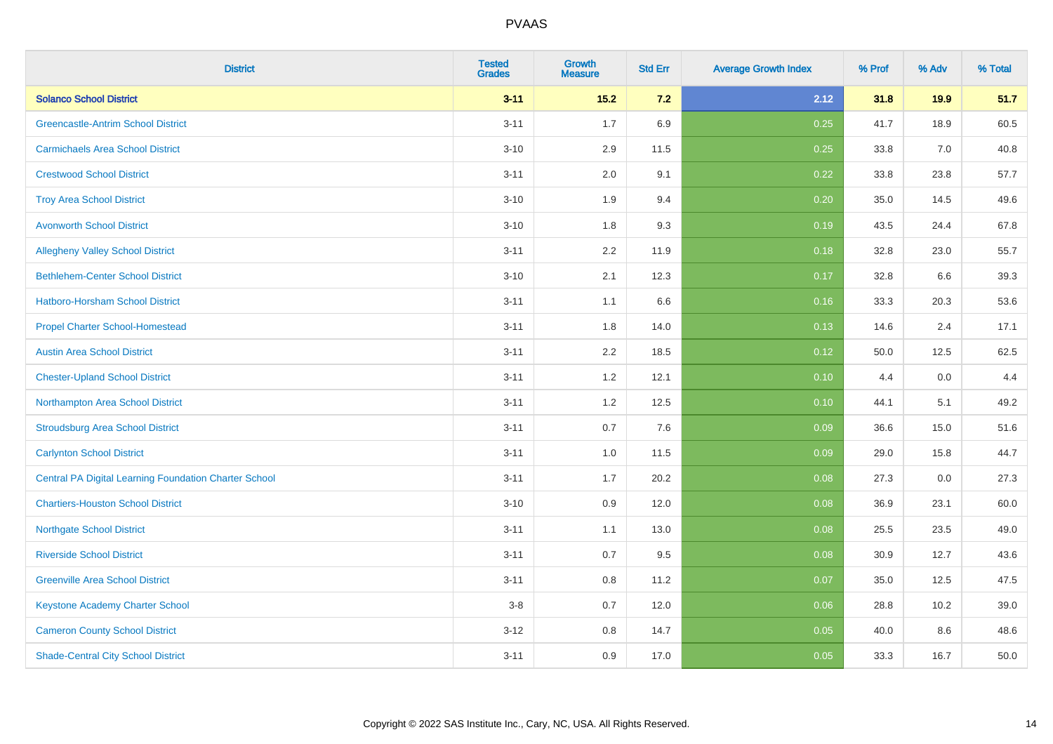| <b>District</b>                                              | <b>Tested</b><br><b>Grades</b> | Growth<br><b>Measure</b> | <b>Std Err</b> | <b>Average Growth Index</b> | % Prof | % Adv | % Total |
|--------------------------------------------------------------|--------------------------------|--------------------------|----------------|-----------------------------|--------|-------|---------|
| <b>Solanco School District</b>                               | $3 - 11$                       | $15.2$                   | $7.2$          | 2.12                        | 31.8   | 19.9  | 51.7    |
| <b>Greencastle-Antrim School District</b>                    | $3 - 11$                       | 1.7                      | 6.9            | 0.25                        | 41.7   | 18.9  | 60.5    |
| <b>Carmichaels Area School District</b>                      | $3 - 10$                       | 2.9                      | 11.5           | 0.25                        | 33.8   | 7.0   | 40.8    |
| <b>Crestwood School District</b>                             | $3 - 11$                       | 2.0                      | 9.1            | 0.22                        | 33.8   | 23.8  | 57.7    |
| <b>Troy Area School District</b>                             | $3 - 10$                       | 1.9                      | 9.4            | 0.20                        | 35.0   | 14.5  | 49.6    |
| <b>Avonworth School District</b>                             | $3 - 10$                       | 1.8                      | 9.3            | 0.19                        | 43.5   | 24.4  | 67.8    |
| <b>Allegheny Valley School District</b>                      | $3 - 11$                       | 2.2                      | 11.9           | 0.18                        | 32.8   | 23.0  | 55.7    |
| <b>Bethlehem-Center School District</b>                      | $3 - 10$                       | 2.1                      | 12.3           | 0.17                        | 32.8   | 6.6   | 39.3    |
| Hatboro-Horsham School District                              | $3 - 11$                       | 1.1                      | 6.6            | 0.16                        | 33.3   | 20.3  | 53.6    |
| <b>Propel Charter School-Homestead</b>                       | $3 - 11$                       | 1.8                      | 14.0           | 0.13                        | 14.6   | 2.4   | 17.1    |
| <b>Austin Area School District</b>                           | $3 - 11$                       | 2.2                      | 18.5           | 0.12                        | 50.0   | 12.5  | 62.5    |
| <b>Chester-Upland School District</b>                        | $3 - 11$                       | 1.2                      | 12.1           | 0.10                        | 4.4    | 0.0   | 4.4     |
| Northampton Area School District                             | $3 - 11$                       | $1.2$                    | 12.5           | 0.10                        | 44.1   | 5.1   | 49.2    |
| <b>Stroudsburg Area School District</b>                      | $3 - 11$                       | 0.7                      | 7.6            | 0.09                        | 36.6   | 15.0  | 51.6    |
| <b>Carlynton School District</b>                             | $3 - 11$                       | 1.0                      | 11.5           | 0.09                        | 29.0   | 15.8  | 44.7    |
| <b>Central PA Digital Learning Foundation Charter School</b> | $3 - 11$                       | 1.7                      | 20.2           | 0.08                        | 27.3   | 0.0   | 27.3    |
| <b>Chartiers-Houston School District</b>                     | $3 - 10$                       | 0.9                      | 12.0           | 0.08                        | 36.9   | 23.1  | 60.0    |
| <b>Northgate School District</b>                             | $3 - 11$                       | 1.1                      | 13.0           | 0.08                        | 25.5   | 23.5  | 49.0    |
| <b>Riverside School District</b>                             | $3 - 11$                       | 0.7                      | 9.5            | 0.08                        | 30.9   | 12.7  | 43.6    |
| <b>Greenville Area School District</b>                       | $3 - 11$                       | 0.8                      | 11.2           | 0.07                        | 35.0   | 12.5  | 47.5    |
| <b>Keystone Academy Charter School</b>                       | $3-8$                          | 0.7                      | 12.0           | 0.06                        | 28.8   | 10.2  | 39.0    |
| <b>Cameron County School District</b>                        | $3 - 12$                       | 0.8                      | 14.7           | 0.05                        | 40.0   | 8.6   | 48.6    |
| <b>Shade-Central City School District</b>                    | $3 - 11$                       | 0.9                      | 17.0           | 0.05                        | 33.3   | 16.7  | 50.0    |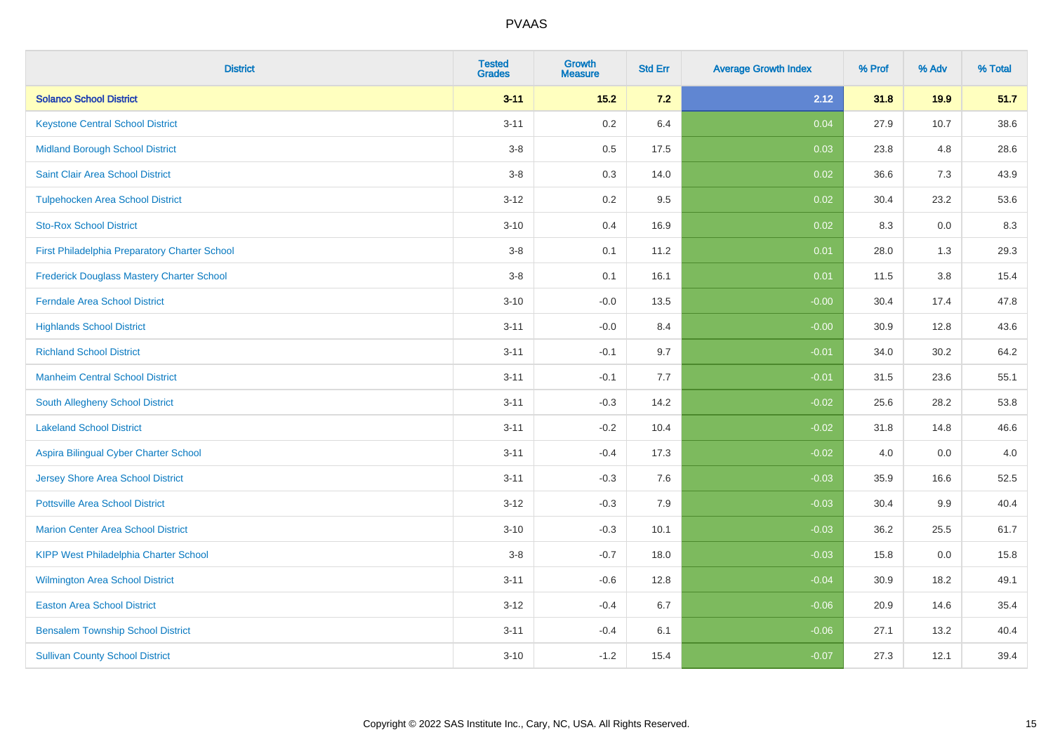| <b>District</b>                                  | <b>Tested</b><br><b>Grades</b> | Growth<br><b>Measure</b> | <b>Std Err</b> | <b>Average Growth Index</b> | % Prof | % Adv | % Total |
|--------------------------------------------------|--------------------------------|--------------------------|----------------|-----------------------------|--------|-------|---------|
| <b>Solanco School District</b>                   | $3 - 11$                       | $15.2$                   | 7.2            | 2.12                        | 31.8   | 19.9  | 51.7    |
| <b>Keystone Central School District</b>          | $3 - 11$                       | $0.2\,$                  | 6.4            | 0.04                        | 27.9   | 10.7  | 38.6    |
| <b>Midland Borough School District</b>           | $3 - 8$                        | $0.5\,$                  | 17.5           | 0.03                        | 23.8   | 4.8   | 28.6    |
| Saint Clair Area School District                 | $3 - 8$                        | 0.3                      | 14.0           | 0.02                        | 36.6   | 7.3   | 43.9    |
| <b>Tulpehocken Area School District</b>          | $3 - 12$                       | 0.2                      | 9.5            | 0.02                        | 30.4   | 23.2  | 53.6    |
| <b>Sto-Rox School District</b>                   | $3 - 10$                       | 0.4                      | 16.9           | 0.02                        | 8.3    | 0.0   | 8.3     |
| First Philadelphia Preparatory Charter School    | $3-8$                          | 0.1                      | 11.2           | 0.01                        | 28.0   | 1.3   | 29.3    |
| <b>Frederick Douglass Mastery Charter School</b> | $3 - 8$                        | 0.1                      | 16.1           | 0.01                        | 11.5   | 3.8   | 15.4    |
| <b>Ferndale Area School District</b>             | $3 - 10$                       | $-0.0$                   | 13.5           | $-0.00$                     | 30.4   | 17.4  | 47.8    |
| <b>Highlands School District</b>                 | $3 - 11$                       | $-0.0$                   | 8.4            | $-0.00$                     | 30.9   | 12.8  | 43.6    |
| <b>Richland School District</b>                  | $3 - 11$                       | $-0.1$                   | 9.7            | $-0.01$                     | 34.0   | 30.2  | 64.2    |
| <b>Manheim Central School District</b>           | $3 - 11$                       | $-0.1$                   | 7.7            | $-0.01$                     | 31.5   | 23.6  | 55.1    |
| South Allegheny School District                  | $3 - 11$                       | $-0.3$                   | 14.2           | $-0.02$                     | 25.6   | 28.2  | 53.8    |
| <b>Lakeland School District</b>                  | $3 - 11$                       | $-0.2$                   | 10.4           | $-0.02$                     | 31.8   | 14.8  | 46.6    |
| Aspira Bilingual Cyber Charter School            | $3 - 11$                       | $-0.4$                   | 17.3           | $-0.02$                     | 4.0    | 0.0   | 4.0     |
| Jersey Shore Area School District                | $3 - 11$                       | $-0.3$                   | 7.6            | $-0.03$                     | 35.9   | 16.6  | 52.5    |
| <b>Pottsville Area School District</b>           | $3 - 12$                       | $-0.3$                   | 7.9            | $-0.03$                     | 30.4   | 9.9   | 40.4    |
| <b>Marion Center Area School District</b>        | $3 - 10$                       | $-0.3$                   | 10.1           | $-0.03$                     | 36.2   | 25.5  | 61.7    |
| <b>KIPP West Philadelphia Charter School</b>     | $3 - 8$                        | $-0.7$                   | 18.0           | $-0.03$                     | 15.8   | 0.0   | 15.8    |
| Wilmington Area School District                  | $3 - 11$                       | $-0.6$                   | 12.8           | $-0.04$                     | 30.9   | 18.2  | 49.1    |
| <b>Easton Area School District</b>               | $3 - 12$                       | $-0.4$                   | 6.7            | $-0.06$                     | 20.9   | 14.6  | 35.4    |
| <b>Bensalem Township School District</b>         | $3 - 11$                       | $-0.4$                   | 6.1            | $-0.06$                     | 27.1   | 13.2  | 40.4    |
| <b>Sullivan County School District</b>           | $3 - 10$                       | $-1.2$                   | 15.4           | $-0.07$                     | 27.3   | 12.1  | 39.4    |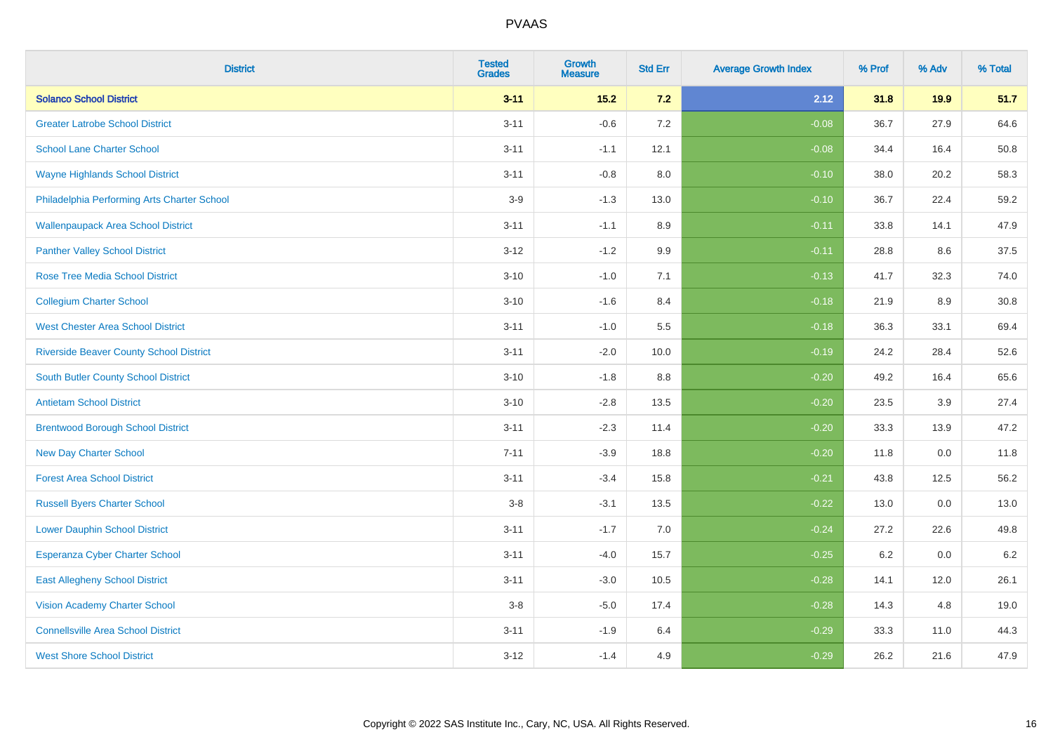| <b>District</b>                                | <b>Tested</b><br><b>Grades</b> | Growth<br><b>Measure</b> | <b>Std Err</b> | <b>Average Growth Index</b> | % Prof | % Adv | % Total |
|------------------------------------------------|--------------------------------|--------------------------|----------------|-----------------------------|--------|-------|---------|
| <b>Solanco School District</b>                 | $3 - 11$                       | $15.2$                   | 7.2            | 2.12                        | 31.8   | 19.9  | 51.7    |
| <b>Greater Latrobe School District</b>         | $3 - 11$                       | $-0.6$                   | 7.2            | $-0.08$                     | 36.7   | 27.9  | 64.6    |
| <b>School Lane Charter School</b>              | $3 - 11$                       | $-1.1$                   | 12.1           | $-0.08$                     | 34.4   | 16.4  | 50.8    |
| <b>Wayne Highlands School District</b>         | $3 - 11$                       | $-0.8$                   | 8.0            | $-0.10$                     | 38.0   | 20.2  | 58.3    |
| Philadelphia Performing Arts Charter School    | $3-9$                          | $-1.3$                   | 13.0           | $-0.10$                     | 36.7   | 22.4  | 59.2    |
| <b>Wallenpaupack Area School District</b>      | $3 - 11$                       | $-1.1$                   | 8.9            | $-0.11$                     | 33.8   | 14.1  | 47.9    |
| <b>Panther Valley School District</b>          | $3 - 12$                       | $-1.2$                   | 9.9            | $-0.11$                     | 28.8   | 8.6   | 37.5    |
| <b>Rose Tree Media School District</b>         | $3 - 10$                       | $-1.0$                   | 7.1            | $-0.13$                     | 41.7   | 32.3  | 74.0    |
| <b>Collegium Charter School</b>                | $3 - 10$                       | $-1.6$                   | 8.4            | $-0.18$                     | 21.9   | 8.9   | 30.8    |
| <b>West Chester Area School District</b>       | $3 - 11$                       | $-1.0$                   | 5.5            | $-0.18$                     | 36.3   | 33.1  | 69.4    |
| <b>Riverside Beaver County School District</b> | $3 - 11$                       | $-2.0$                   | 10.0           | $-0.19$                     | 24.2   | 28.4  | 52.6    |
| South Butler County School District            | $3 - 10$                       | $-1.8$                   | 8.8            | $-0.20$                     | 49.2   | 16.4  | 65.6    |
| <b>Antietam School District</b>                | $3 - 10$                       | $-2.8$                   | 13.5           | $-0.20$                     | 23.5   | 3.9   | 27.4    |
| <b>Brentwood Borough School District</b>       | $3 - 11$                       | $-2.3$                   | 11.4           | $-0.20$                     | 33.3   | 13.9  | 47.2    |
| <b>New Day Charter School</b>                  | $7 - 11$                       | $-3.9$                   | 18.8           | $-0.20$                     | 11.8   | 0.0   | 11.8    |
| <b>Forest Area School District</b>             | $3 - 11$                       | $-3.4$                   | 15.8           | $-0.21$                     | 43.8   | 12.5  | 56.2    |
| <b>Russell Byers Charter School</b>            | $3-8$                          | $-3.1$                   | 13.5           | $-0.22$                     | 13.0   | 0.0   | 13.0    |
| <b>Lower Dauphin School District</b>           | $3 - 11$                       | $-1.7$                   | 7.0            | $-0.24$                     | 27.2   | 22.6  | 49.8    |
| <b>Esperanza Cyber Charter School</b>          | $3 - 11$                       | $-4.0$                   | 15.7           | $-0.25$                     | 6.2    | 0.0   | $6.2\,$ |
| <b>East Allegheny School District</b>          | $3 - 11$                       | $-3.0$                   | 10.5           | $-0.28$                     | 14.1   | 12.0  | 26.1    |
| <b>Vision Academy Charter School</b>           | $3-8$                          | $-5.0$                   | 17.4           | $-0.28$                     | 14.3   | 4.8   | 19.0    |
| <b>Connellsville Area School District</b>      | $3 - 11$                       | $-1.9$                   | 6.4            | $-0.29$                     | 33.3   | 11.0  | 44.3    |
| <b>West Shore School District</b>              | $3 - 12$                       | $-1.4$                   | 4.9            | $-0.29$                     | 26.2   | 21.6  | 47.9    |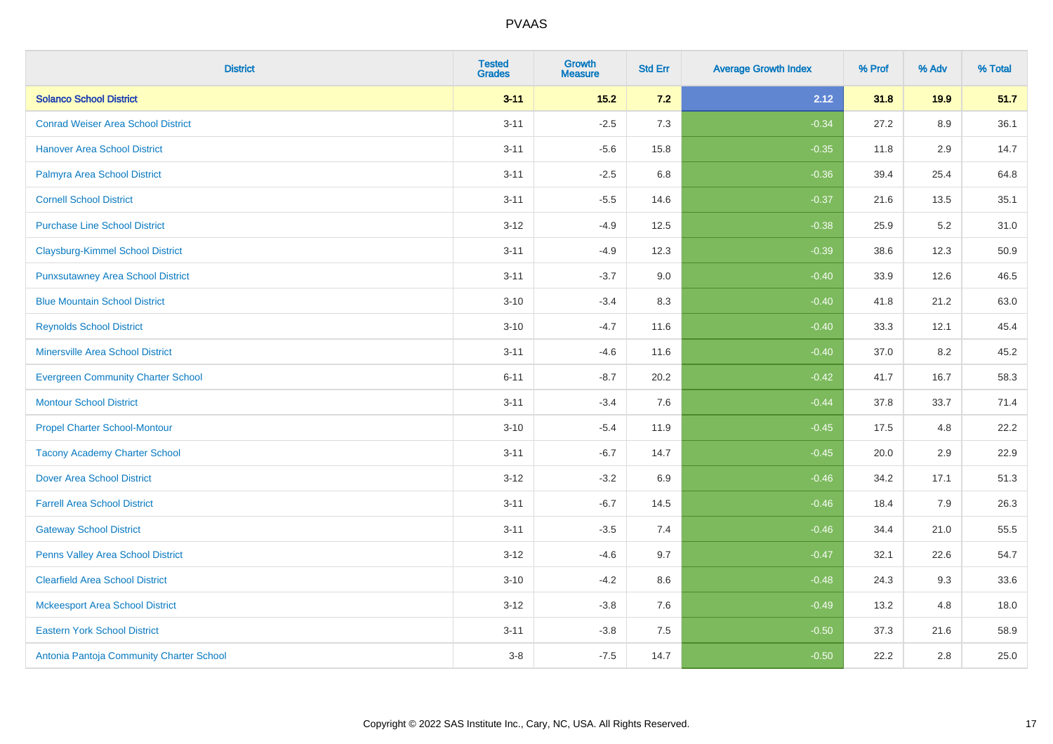| <b>District</b>                           | <b>Tested</b><br><b>Grades</b> | Growth<br><b>Measure</b> | <b>Std Err</b> | <b>Average Growth Index</b> | % Prof | % Adv | % Total |
|-------------------------------------------|--------------------------------|--------------------------|----------------|-----------------------------|--------|-------|---------|
| <b>Solanco School District</b>            | $3 - 11$                       | $15.2$                   | $7.2$          | 2.12                        | 31.8   | 19.9  | 51.7    |
| <b>Conrad Weiser Area School District</b> | $3 - 11$                       | $-2.5$                   | 7.3            | $-0.34$                     | 27.2   | 8.9   | 36.1    |
| <b>Hanover Area School District</b>       | $3 - 11$                       | $-5.6$                   | 15.8           | $-0.35$                     | 11.8   | 2.9   | 14.7    |
| Palmyra Area School District              | $3 - 11$                       | $-2.5$                   | 6.8            | $-0.36$                     | 39.4   | 25.4  | 64.8    |
| <b>Cornell School District</b>            | $3 - 11$                       | $-5.5$                   | 14.6           | $-0.37$                     | 21.6   | 13.5  | 35.1    |
| <b>Purchase Line School District</b>      | $3 - 12$                       | $-4.9$                   | 12.5           | $-0.38$                     | 25.9   | 5.2   | 31.0    |
| <b>Claysburg-Kimmel School District</b>   | $3 - 11$                       | $-4.9$                   | 12.3           | $-0.39$                     | 38.6   | 12.3  | 50.9    |
| <b>Punxsutawney Area School District</b>  | $3 - 11$                       | $-3.7$                   | 9.0            | $-0.40$                     | 33.9   | 12.6  | 46.5    |
| <b>Blue Mountain School District</b>      | $3 - 10$                       | $-3.4$                   | 8.3            | $-0.40$                     | 41.8   | 21.2  | 63.0    |
| <b>Reynolds School District</b>           | $3 - 10$                       | $-4.7$                   | 11.6           | $-0.40$                     | 33.3   | 12.1  | 45.4    |
| <b>Minersville Area School District</b>   | $3 - 11$                       | $-4.6$                   | 11.6           | $-0.40$                     | 37.0   | 8.2   | 45.2    |
| <b>Evergreen Community Charter School</b> | $6 - 11$                       | $-8.7$                   | 20.2           | $-0.42$                     | 41.7   | 16.7  | 58.3    |
| <b>Montour School District</b>            | $3 - 11$                       | $-3.4$                   | 7.6            | $-0.44$                     | 37.8   | 33.7  | 71.4    |
| <b>Propel Charter School-Montour</b>      | $3 - 10$                       | $-5.4$                   | 11.9           | $-0.45$                     | 17.5   | 4.8   | 22.2    |
| <b>Tacony Academy Charter School</b>      | $3 - 11$                       | $-6.7$                   | 14.7           | $-0.45$                     | 20.0   | 2.9   | 22.9    |
| <b>Dover Area School District</b>         | $3 - 12$                       | $-3.2$                   | 6.9            | $-0.46$                     | 34.2   | 17.1  | 51.3    |
| <b>Farrell Area School District</b>       | $3 - 11$                       | $-6.7$                   | 14.5           | $-0.46$                     | 18.4   | 7.9   | 26.3    |
| <b>Gateway School District</b>            | $3 - 11$                       | $-3.5$                   | 7.4            | $-0.46$                     | 34.4   | 21.0  | 55.5    |
| <b>Penns Valley Area School District</b>  | $3 - 12$                       | $-4.6$                   | 9.7            | $-0.47$                     | 32.1   | 22.6  | 54.7    |
| <b>Clearfield Area School District</b>    | $3 - 10$                       | $-4.2$                   | 8.6            | $-0.48$                     | 24.3   | 9.3   | 33.6    |
| <b>Mckeesport Area School District</b>    | $3 - 12$                       | $-3.8$                   | 7.6            | $-0.49$                     | 13.2   | 4.8   | 18.0    |
| <b>Eastern York School District</b>       | $3 - 11$                       | $-3.8$                   | 7.5            | $-0.50$                     | 37.3   | 21.6  | 58.9    |
| Antonia Pantoja Community Charter School  | $3 - 8$                        | $-7.5$                   | 14.7           | $-0.50$                     | 22.2   | 2.8   | 25.0    |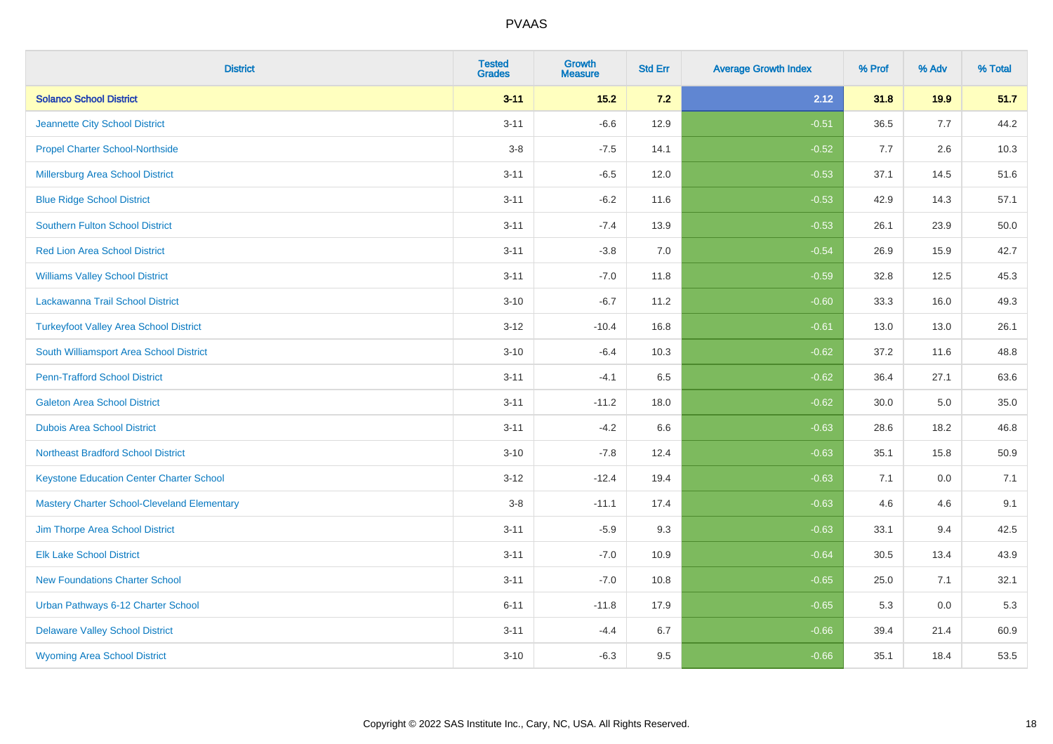| <b>District</b>                                    | <b>Tested</b><br><b>Grades</b> | Growth<br><b>Measure</b> | <b>Std Err</b> | <b>Average Growth Index</b> | % Prof   | % Adv | % Total |
|----------------------------------------------------|--------------------------------|--------------------------|----------------|-----------------------------|----------|-------|---------|
| <b>Solanco School District</b>                     | $3 - 11$                       | $15.2$                   | 7.2            | 2.12                        | 31.8     | 19.9  | 51.7    |
| Jeannette City School District                     | $3 - 11$                       | $-6.6$                   | 12.9           | $-0.51$                     | 36.5     | 7.7   | 44.2    |
| <b>Propel Charter School-Northside</b>             | $3 - 8$                        | $-7.5$                   | 14.1           | $-0.52$                     | 7.7      | 2.6   | 10.3    |
| Millersburg Area School District                   | $3 - 11$                       | $-6.5$                   | 12.0           | $-0.53$                     | 37.1     | 14.5  | 51.6    |
| <b>Blue Ridge School District</b>                  | $3 - 11$                       | $-6.2$                   | 11.6           | $-0.53$                     | 42.9     | 14.3  | 57.1    |
| <b>Southern Fulton School District</b>             | $3 - 11$                       | $-7.4$                   | 13.9           | $-0.53$                     | 26.1     | 23.9  | 50.0    |
| <b>Red Lion Area School District</b>               | $3 - 11$                       | $-3.8$                   | 7.0            | $-0.54$                     | 26.9     | 15.9  | 42.7    |
| <b>Williams Valley School District</b>             | $3 - 11$                       | $-7.0$                   | 11.8           | $-0.59$                     | 32.8     | 12.5  | 45.3    |
| Lackawanna Trail School District                   | $3 - 10$                       | $-6.7$                   | 11.2           | $-0.60$                     | 33.3     | 16.0  | 49.3    |
| <b>Turkeyfoot Valley Area School District</b>      | $3 - 12$                       | $-10.4$                  | 16.8           | $-0.61$                     | 13.0     | 13.0  | 26.1    |
| South Williamsport Area School District            | $3 - 10$                       | $-6.4$                   | 10.3           | $-0.62$                     | 37.2     | 11.6  | 48.8    |
| <b>Penn-Trafford School District</b>               | $3 - 11$                       | $-4.1$                   | 6.5            | $-0.62$                     | 36.4     | 27.1  | 63.6    |
| <b>Galeton Area School District</b>                | $3 - 11$                       | $-11.2$                  | 18.0           | $-0.62$                     | $30.0\,$ | 5.0   | 35.0    |
| <b>Dubois Area School District</b>                 | $3 - 11$                       | $-4.2$                   | 6.6            | $-0.63$                     | 28.6     | 18.2  | 46.8    |
| <b>Northeast Bradford School District</b>          | $3 - 10$                       | $-7.8$                   | 12.4           | $-0.63$                     | 35.1     | 15.8  | 50.9    |
| <b>Keystone Education Center Charter School</b>    | $3 - 12$                       | $-12.4$                  | 19.4           | $-0.63$                     | 7.1      | 0.0   | 7.1     |
| <b>Mastery Charter School-Cleveland Elementary</b> | $3-8$                          | $-11.1$                  | 17.4           | $-0.63$                     | 4.6      | 4.6   | 9.1     |
| Jim Thorpe Area School District                    | $3 - 11$                       | $-5.9$                   | 9.3            | $-0.63$                     | 33.1     | 9.4   | 42.5    |
| <b>Elk Lake School District</b>                    | $3 - 11$                       | $-7.0$                   | 10.9           | $-0.64$                     | 30.5     | 13.4  | 43.9    |
| <b>New Foundations Charter School</b>              | $3 - 11$                       | $-7.0$                   | 10.8           | $-0.65$                     | 25.0     | 7.1   | 32.1    |
| Urban Pathways 6-12 Charter School                 | $6 - 11$                       | $-11.8$                  | 17.9           | $-0.65$                     | 5.3      | 0.0   | 5.3     |
| <b>Delaware Valley School District</b>             | $3 - 11$                       | $-4.4$                   | 6.7            | $-0.66$                     | 39.4     | 21.4  | 60.9    |
| <b>Wyoming Area School District</b>                | $3 - 10$                       | $-6.3$                   | 9.5            | $-0.66$                     | 35.1     | 18.4  | 53.5    |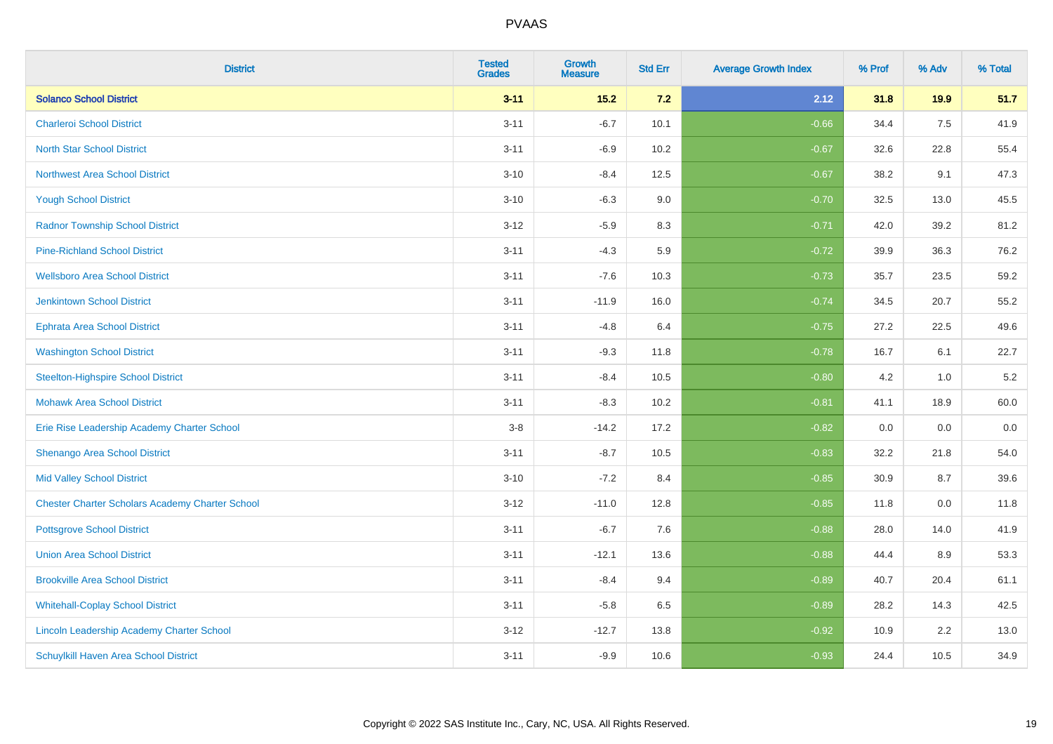| <b>District</b>                                        | <b>Tested</b><br><b>Grades</b> | <b>Growth</b><br><b>Measure</b> | <b>Std Err</b> | <b>Average Growth Index</b> | % Prof | % Adv | % Total |
|--------------------------------------------------------|--------------------------------|---------------------------------|----------------|-----------------------------|--------|-------|---------|
| <b>Solanco School District</b>                         | $3 - 11$                       | $15.2$                          | 7.2            | 2.12                        | 31.8   | 19.9  | 51.7    |
| <b>Charleroi School District</b>                       | $3 - 11$                       | $-6.7$                          | 10.1           | $-0.66$                     | 34.4   | 7.5   | 41.9    |
| <b>North Star School District</b>                      | $3 - 11$                       | $-6.9$                          | 10.2           | $-0.67$                     | 32.6   | 22.8  | 55.4    |
| <b>Northwest Area School District</b>                  | $3 - 10$                       | $-8.4$                          | 12.5           | $-0.67$                     | 38.2   | 9.1   | 47.3    |
| <b>Yough School District</b>                           | $3 - 10$                       | $-6.3$                          | 9.0            | $-0.70$                     | 32.5   | 13.0  | 45.5    |
| <b>Radnor Township School District</b>                 | $3 - 12$                       | $-5.9$                          | 8.3            | $-0.71$                     | 42.0   | 39.2  | 81.2    |
| <b>Pine-Richland School District</b>                   | $3 - 11$                       | $-4.3$                          | 5.9            | $-0.72$                     | 39.9   | 36.3  | 76.2    |
| <b>Wellsboro Area School District</b>                  | $3 - 11$                       | $-7.6$                          | 10.3           | $-0.73$                     | 35.7   | 23.5  | 59.2    |
| <b>Jenkintown School District</b>                      | $3 - 11$                       | $-11.9$                         | 16.0           | $-0.74$                     | 34.5   | 20.7  | 55.2    |
| <b>Ephrata Area School District</b>                    | $3 - 11$                       | $-4.8$                          | 6.4            | $-0.75$                     | 27.2   | 22.5  | 49.6    |
| <b>Washington School District</b>                      | $3 - 11$                       | $-9.3$                          | 11.8           | $-0.78$                     | 16.7   | 6.1   | 22.7    |
| <b>Steelton-Highspire School District</b>              | $3 - 11$                       | $-8.4$                          | 10.5           | $-0.80$                     | 4.2    | 1.0   | $5.2\,$ |
| <b>Mohawk Area School District</b>                     | $3 - 11$                       | $-8.3$                          | 10.2           | $-0.81$                     | 41.1   | 18.9  | 60.0    |
| Erie Rise Leadership Academy Charter School            | $3-8$                          | $-14.2$                         | 17.2           | $-0.82$                     | 0.0    | 0.0   | 0.0     |
| Shenango Area School District                          | $3 - 11$                       | $-8.7$                          | 10.5           | $-0.83$                     | 32.2   | 21.8  | 54.0    |
| <b>Mid Valley School District</b>                      | $3 - 10$                       | $-7.2$                          | 8.4            | $-0.85$                     | 30.9   | 8.7   | 39.6    |
| <b>Chester Charter Scholars Academy Charter School</b> | $3 - 12$                       | $-11.0$                         | 12.8           | $-0.85$                     | 11.8   | 0.0   | 11.8    |
| <b>Pottsgrove School District</b>                      | $3 - 11$                       | $-6.7$                          | 7.6            | $-0.88$                     | 28.0   | 14.0  | 41.9    |
| <b>Union Area School District</b>                      | $3 - 11$                       | $-12.1$                         | 13.6           | $-0.88$                     | 44.4   | 8.9   | 53.3    |
| <b>Brookville Area School District</b>                 | $3 - 11$                       | $-8.4$                          | 9.4            | $-0.89$                     | 40.7   | 20.4  | 61.1    |
| <b>Whitehall-Coplay School District</b>                | $3 - 11$                       | $-5.8$                          | 6.5            | $-0.89$                     | 28.2   | 14.3  | 42.5    |
| Lincoln Leadership Academy Charter School              | $3 - 12$                       | $-12.7$                         | 13.8           | $-0.92$                     | 10.9   | 2.2   | 13.0    |
| Schuylkill Haven Area School District                  | $3 - 11$                       | $-9.9$                          | 10.6           | $-0.93$                     | 24.4   | 10.5  | 34.9    |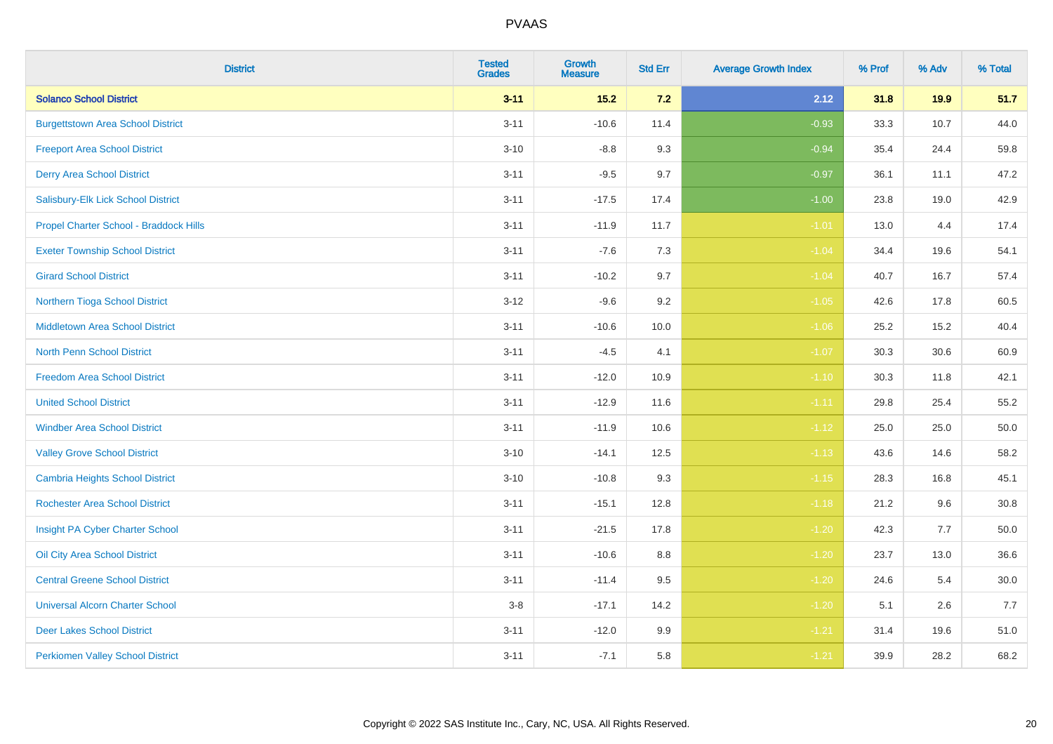| <b>District</b>                          | <b>Tested</b><br><b>Grades</b> | Growth<br><b>Measure</b> | <b>Std Err</b> | <b>Average Growth Index</b> | % Prof | % Adv | % Total  |
|------------------------------------------|--------------------------------|--------------------------|----------------|-----------------------------|--------|-------|----------|
| <b>Solanco School District</b>           | $3 - 11$                       | $15.2$                   | 7.2            | 2.12                        | 31.8   | 19.9  | 51.7     |
| <b>Burgettstown Area School District</b> | $3 - 11$                       | $-10.6$                  | 11.4           | $-0.93$                     | 33.3   | 10.7  | 44.0     |
| <b>Freeport Area School District</b>     | $3 - 10$                       | $-8.8$                   | 9.3            | $-0.94$                     | 35.4   | 24.4  | 59.8     |
| <b>Derry Area School District</b>        | $3 - 11$                       | $-9.5$                   | 9.7            | $-0.97$                     | 36.1   | 11.1  | 47.2     |
| Salisbury-Elk Lick School District       | $3 - 11$                       | $-17.5$                  | 17.4           | $-1.00$                     | 23.8   | 19.0  | 42.9     |
| Propel Charter School - Braddock Hills   | $3 - 11$                       | $-11.9$                  | 11.7           | $-1.01$                     | 13.0   | 4.4   | 17.4     |
| <b>Exeter Township School District</b>   | $3 - 11$                       | $-7.6$                   | 7.3            | $-1.04$                     | 34.4   | 19.6  | 54.1     |
| <b>Girard School District</b>            | $3 - 11$                       | $-10.2$                  | 9.7            | $-1.04$                     | 40.7   | 16.7  | 57.4     |
| Northern Tioga School District           | $3 - 12$                       | $-9.6$                   | 9.2            | $-1.05$                     | 42.6   | 17.8  | 60.5     |
| <b>Middletown Area School District</b>   | $3 - 11$                       | $-10.6$                  | 10.0           | $-1.06$                     | 25.2   | 15.2  | 40.4     |
| North Penn School District               | $3 - 11$                       | $-4.5$                   | 4.1            | $-1.07$                     | 30.3   | 30.6  | 60.9     |
| <b>Freedom Area School District</b>      | $3 - 11$                       | $-12.0$                  | 10.9           | $-1.10$                     | 30.3   | 11.8  | 42.1     |
| <b>United School District</b>            | $3 - 11$                       | $-12.9$                  | 11.6           | $-1.11$                     | 29.8   | 25.4  | 55.2     |
| <b>Windber Area School District</b>      | $3 - 11$                       | $-11.9$                  | 10.6           | $-1.12$                     | 25.0   | 25.0  | 50.0     |
| <b>Valley Grove School District</b>      | $3 - 10$                       | $-14.1$                  | 12.5           | $-1.13$                     | 43.6   | 14.6  | 58.2     |
| <b>Cambria Heights School District</b>   | $3 - 10$                       | $-10.8$                  | 9.3            | $-1.15$                     | 28.3   | 16.8  | 45.1     |
| <b>Rochester Area School District</b>    | $3 - 11$                       | $-15.1$                  | 12.8           | $-1.18$                     | 21.2   | 9.6   | 30.8     |
| Insight PA Cyber Charter School          | $3 - 11$                       | $-21.5$                  | 17.8           | $-1.20$                     | 42.3   | 7.7   | 50.0     |
| Oil City Area School District            | $3 - 11$                       | $-10.6$                  | 8.8            | $-1.20$                     | 23.7   | 13.0  | 36.6     |
| <b>Central Greene School District</b>    | $3 - 11$                       | $-11.4$                  | 9.5            | $-1.20$                     | 24.6   | 5.4   | $30.0\,$ |
| <b>Universal Alcorn Charter School</b>   | $3-8$                          | $-17.1$                  | 14.2           | $-1.20$                     | 5.1    | 2.6   | 7.7      |
| <b>Deer Lakes School District</b>        | $3 - 11$                       | $-12.0$                  | 9.9            | $-1.21$                     | 31.4   | 19.6  | 51.0     |
| <b>Perkiomen Valley School District</b>  | $3 - 11$                       | $-7.1$                   | 5.8            | $-1.21$                     | 39.9   | 28.2  | 68.2     |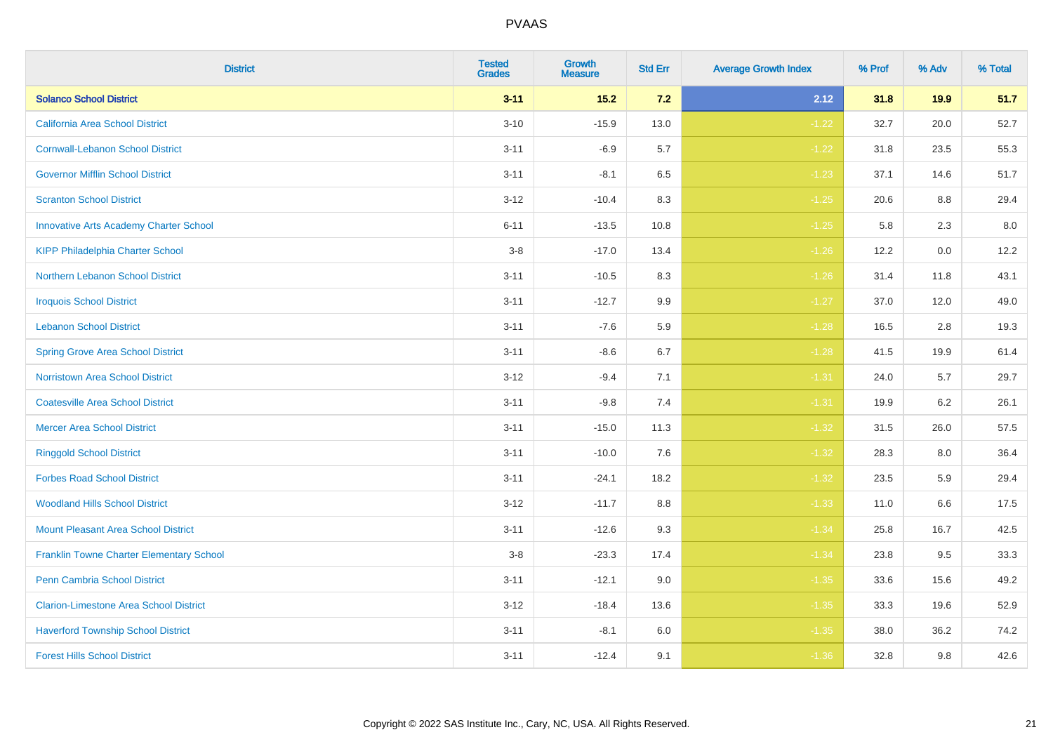| <b>District</b>                                 | <b>Tested</b><br><b>Grades</b> | Growth<br><b>Measure</b> | <b>Std Err</b> | <b>Average Growth Index</b> | % Prof | % Adv | % Total |
|-------------------------------------------------|--------------------------------|--------------------------|----------------|-----------------------------|--------|-------|---------|
| <b>Solanco School District</b>                  | $3 - 11$                       | $15.2$                   | 7.2            | 2.12                        | 31.8   | 19.9  | 51.7    |
| California Area School District                 | $3 - 10$                       | $-15.9$                  | 13.0           | $-1.22$                     | 32.7   | 20.0  | 52.7    |
| <b>Cornwall-Lebanon School District</b>         | $3 - 11$                       | $-6.9$                   | 5.7            | $-1.22$                     | 31.8   | 23.5  | 55.3    |
| <b>Governor Mifflin School District</b>         | $3 - 11$                       | $-8.1$                   | 6.5            | $-1.23$                     | 37.1   | 14.6  | 51.7    |
| <b>Scranton School District</b>                 | $3 - 12$                       | $-10.4$                  | 8.3            | $-1.25$                     | 20.6   | 8.8   | 29.4    |
| <b>Innovative Arts Academy Charter School</b>   | $6 - 11$                       | $-13.5$                  | 10.8           | $-1.25$                     | 5.8    | 2.3   | $8.0\,$ |
| <b>KIPP Philadelphia Charter School</b>         | $3-8$                          | $-17.0$                  | 13.4           | $-1.26$                     | 12.2   | 0.0   | 12.2    |
| <b>Northern Lebanon School District</b>         | $3 - 11$                       | $-10.5$                  | 8.3            | $-1.26$                     | 31.4   | 11.8  | 43.1    |
| <b>Iroquois School District</b>                 | $3 - 11$                       | $-12.7$                  | 9.9            | $-1.27$                     | 37.0   | 12.0  | 49.0    |
| <b>Lebanon School District</b>                  | $3 - 11$                       | $-7.6$                   | 5.9            | $-1.28$                     | 16.5   | 2.8   | 19.3    |
| <b>Spring Grove Area School District</b>        | $3 - 11$                       | $-8.6$                   | 6.7            | $-1.28$                     | 41.5   | 19.9  | 61.4    |
| Norristown Area School District                 | $3 - 12$                       | $-9.4$                   | 7.1            | $-1.31$                     | 24.0   | 5.7   | 29.7    |
| <b>Coatesville Area School District</b>         | $3 - 11$                       | $-9.8$                   | 7.4            | $-1.31$                     | 19.9   | 6.2   | 26.1    |
| <b>Mercer Area School District</b>              | $3 - 11$                       | $-15.0$                  | 11.3           | $-1.32$                     | 31.5   | 26.0  | 57.5    |
| <b>Ringgold School District</b>                 | $3 - 11$                       | $-10.0$                  | 7.6            | $-1.32$                     | 28.3   | 8.0   | 36.4    |
| <b>Forbes Road School District</b>              | $3 - 11$                       | $-24.1$                  | 18.2           | $-1.32$                     | 23.5   | 5.9   | 29.4    |
| <b>Woodland Hills School District</b>           | $3 - 12$                       | $-11.7$                  | 8.8            | $-1.33$                     | 11.0   | 6.6   | 17.5    |
| <b>Mount Pleasant Area School District</b>      | $3 - 11$                       | $-12.6$                  | 9.3            | $-1.34$                     | 25.8   | 16.7  | 42.5    |
| <b>Franklin Towne Charter Elementary School</b> | $3 - 8$                        | $-23.3$                  | 17.4           | $-1.34$                     | 23.8   | 9.5   | 33.3    |
| <b>Penn Cambria School District</b>             | $3 - 11$                       | $-12.1$                  | 9.0            | $-1.35$                     | 33.6   | 15.6  | 49.2    |
| <b>Clarion-Limestone Area School District</b>   | $3 - 12$                       | $-18.4$                  | 13.6           | $-1.35$                     | 33.3   | 19.6  | 52.9    |
| <b>Haverford Township School District</b>       | $3 - 11$                       | $-8.1$                   | 6.0            | $-1.35$                     | 38.0   | 36.2  | 74.2    |
| <b>Forest Hills School District</b>             | $3 - 11$                       | $-12.4$                  | 9.1            | $-1.36$                     | 32.8   | 9.8   | 42.6    |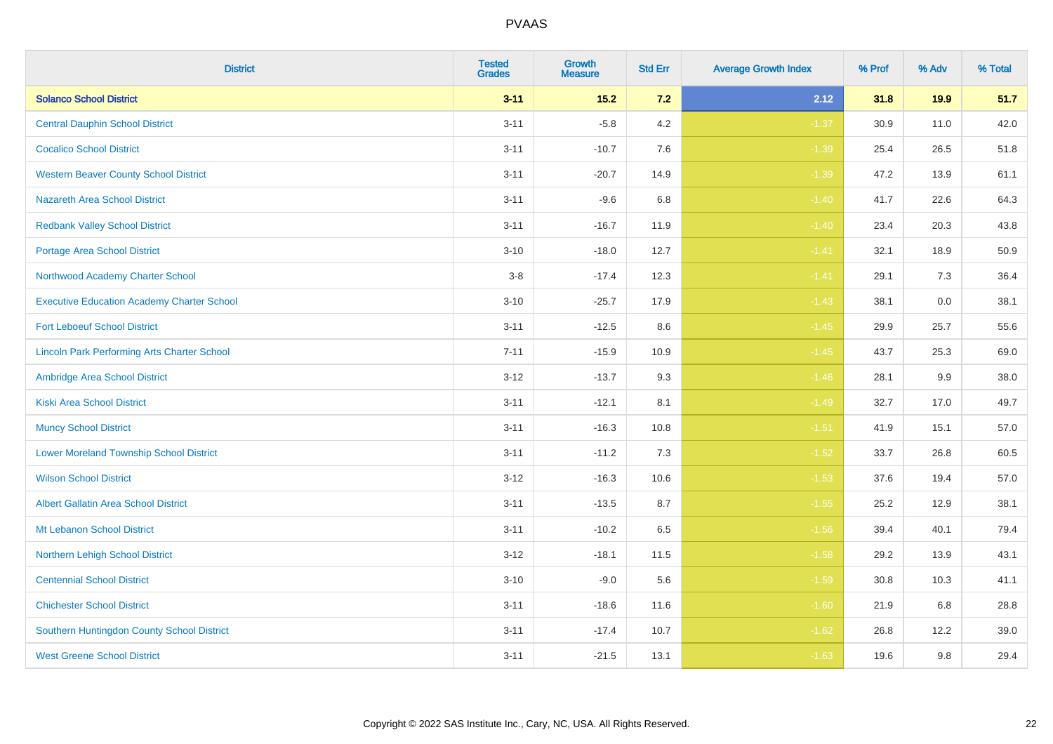| <b>District</b>                                    | <b>Tested</b><br><b>Grades</b> | Growth<br><b>Measure</b> | <b>Std Err</b> | <b>Average Growth Index</b> | % Prof | % Adv | % Total |
|----------------------------------------------------|--------------------------------|--------------------------|----------------|-----------------------------|--------|-------|---------|
| <b>Solanco School District</b>                     | $3 - 11$                       | $15.2$                   | $7.2$          | 2.12                        | 31.8   | 19.9  | 51.7    |
| <b>Central Dauphin School District</b>             | $3 - 11$                       | $-5.8$                   | 4.2            | $-1.37$                     | 30.9   | 11.0  | 42.0    |
| <b>Cocalico School District</b>                    | $3 - 11$                       | $-10.7$                  | 7.6            | $-1.39$                     | 25.4   | 26.5  | 51.8    |
| <b>Western Beaver County School District</b>       | $3 - 11$                       | $-20.7$                  | 14.9           | $-1.39$                     | 47.2   | 13.9  | 61.1    |
| <b>Nazareth Area School District</b>               | $3 - 11$                       | $-9.6$                   | 6.8            | $-1.40$                     | 41.7   | 22.6  | 64.3    |
| <b>Redbank Valley School District</b>              | $3 - 11$                       | $-16.7$                  | 11.9           | $-1.40$                     | 23.4   | 20.3  | 43.8    |
| <b>Portage Area School District</b>                | $3 - 10$                       | $-18.0$                  | 12.7           | $-1.41$                     | 32.1   | 18.9  | 50.9    |
| Northwood Academy Charter School                   | $3 - 8$                        | $-17.4$                  | 12.3           | $-1.41$                     | 29.1   | 7.3   | 36.4    |
| <b>Executive Education Academy Charter School</b>  | $3 - 10$                       | $-25.7$                  | 17.9           | $-1.43$                     | 38.1   | 0.0   | 38.1    |
| <b>Fort Leboeuf School District</b>                | $3 - 11$                       | $-12.5$                  | 8.6            | $-1.45$                     | 29.9   | 25.7  | 55.6    |
| <b>Lincoln Park Performing Arts Charter School</b> | $7 - 11$                       | $-15.9$                  | 10.9           | $-1.45$                     | 43.7   | 25.3  | 69.0    |
| Ambridge Area School District                      | $3 - 12$                       | $-13.7$                  | 9.3            | $-1.46$                     | 28.1   | 9.9   | 38.0    |
| <b>Kiski Area School District</b>                  | $3 - 11$                       | $-12.1$                  | 8.1            | $-1.49$                     | 32.7   | 17.0  | 49.7    |
| <b>Muncy School District</b>                       | $3 - 11$                       | $-16.3$                  | 10.8           | $-1.51$                     | 41.9   | 15.1  | 57.0    |
| <b>Lower Moreland Township School District</b>     | $3 - 11$                       | $-11.2$                  | 7.3            | $-1.52$                     | 33.7   | 26.8  | 60.5    |
| <b>Wilson School District</b>                      | $3 - 12$                       | $-16.3$                  | 10.6           | $-1.53$                     | 37.6   | 19.4  | 57.0    |
| <b>Albert Gallatin Area School District</b>        | $3 - 11$                       | $-13.5$                  | 8.7            | $-1.55$                     | 25.2   | 12.9  | 38.1    |
| Mt Lebanon School District                         | $3 - 11$                       | $-10.2$                  | 6.5            | $-1.56$                     | 39.4   | 40.1  | 79.4    |
| Northern Lehigh School District                    | $3 - 12$                       | $-18.1$                  | 11.5           | $-1.58$                     | 29.2   | 13.9  | 43.1    |
| <b>Centennial School District</b>                  | $3 - 10$                       | $-9.0$                   | 5.6            | $-1.59$                     | 30.8   | 10.3  | 41.1    |
| <b>Chichester School District</b>                  | $3 - 11$                       | $-18.6$                  | 11.6           | $-1.60$                     | 21.9   | 6.8   | 28.8    |
| Southern Huntingdon County School District         | $3 - 11$                       | $-17.4$                  | 10.7           | $-1.62$                     | 26.8   | 12.2  | 39.0    |
| <b>West Greene School District</b>                 | $3 - 11$                       | $-21.5$                  | 13.1           | $-1.63$                     | 19.6   | 9.8   | 29.4    |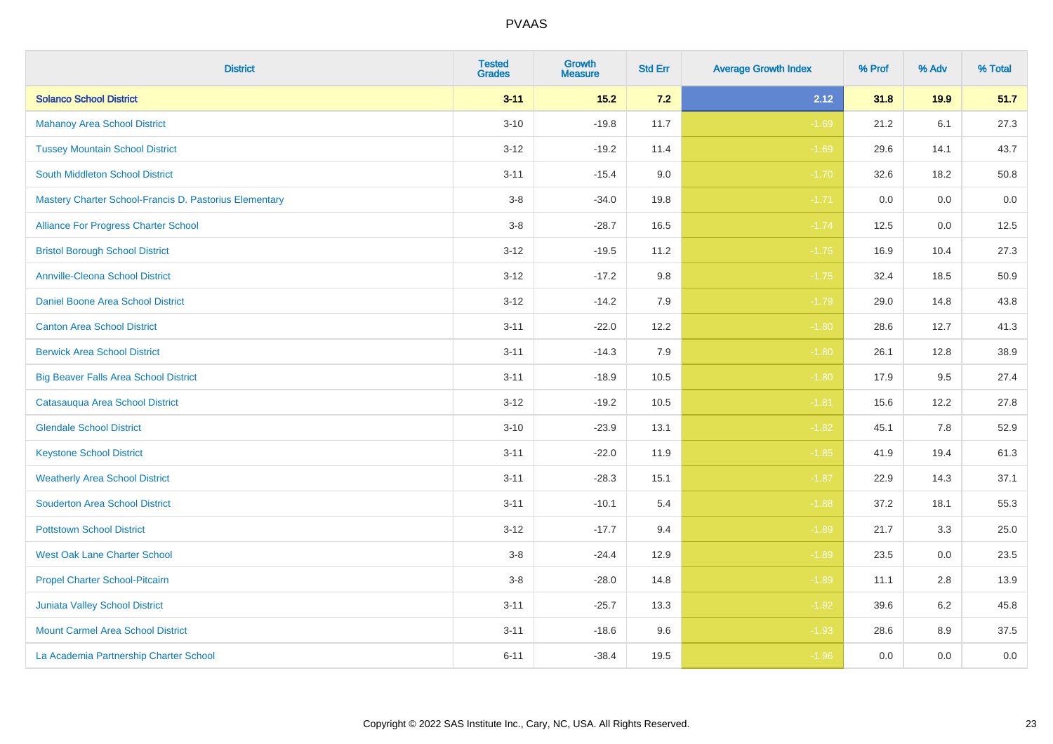| <b>District</b>                                        | <b>Tested</b><br><b>Grades</b> | <b>Growth</b><br><b>Measure</b> | <b>Std Err</b> | <b>Average Growth Index</b> | % Prof | % Adv | % Total |
|--------------------------------------------------------|--------------------------------|---------------------------------|----------------|-----------------------------|--------|-------|---------|
| <b>Solanco School District</b>                         | $3 - 11$                       | 15.2                            | $7.2$          | 2.12                        | 31.8   | 19.9  | 51.7    |
| <b>Mahanoy Area School District</b>                    | $3 - 10$                       | $-19.8$                         | 11.7           | $-1.69$                     | 21.2   | 6.1   | 27.3    |
| <b>Tussey Mountain School District</b>                 | $3 - 12$                       | $-19.2$                         | 11.4           | $-1.69$                     | 29.6   | 14.1  | 43.7    |
| <b>South Middleton School District</b>                 | $3 - 11$                       | $-15.4$                         | 9.0            | $-1.70$                     | 32.6   | 18.2  | 50.8    |
| Mastery Charter School-Francis D. Pastorius Elementary | $3-8$                          | $-34.0$                         | 19.8           | $-1.71$                     | 0.0    | 0.0   | 0.0     |
| Alliance For Progress Charter School                   | $3-8$                          | $-28.7$                         | 16.5           | $-1.74$                     | 12.5   | 0.0   | 12.5    |
| <b>Bristol Borough School District</b>                 | $3 - 12$                       | $-19.5$                         | 11.2           | $-1.75$                     | 16.9   | 10.4  | 27.3    |
| <b>Annville-Cleona School District</b>                 | $3 - 12$                       | $-17.2$                         | 9.8            | $-1.75$                     | 32.4   | 18.5  | 50.9    |
| Daniel Boone Area School District                      | $3 - 12$                       | $-14.2$                         | 7.9            | $-1.79$                     | 29.0   | 14.8  | 43.8    |
| <b>Canton Area School District</b>                     | $3 - 11$                       | $-22.0$                         | 12.2           | $-1.80$                     | 28.6   | 12.7  | 41.3    |
| <b>Berwick Area School District</b>                    | $3 - 11$                       | $-14.3$                         | 7.9            | $-1.80$                     | 26.1   | 12.8  | 38.9    |
| <b>Big Beaver Falls Area School District</b>           | $3 - 11$                       | $-18.9$                         | 10.5           | $-1.80$                     | 17.9   | 9.5   | 27.4    |
| Catasauqua Area School District                        | $3 - 12$                       | $-19.2$                         | 10.5           | $-1.81$                     | 15.6   | 12.2  | 27.8    |
| <b>Glendale School District</b>                        | $3 - 10$                       | $-23.9$                         | 13.1           | $-1.82$                     | 45.1   | 7.8   | 52.9    |
| <b>Keystone School District</b>                        | $3 - 11$                       | $-22.0$                         | 11.9           | $-1.85$                     | 41.9   | 19.4  | 61.3    |
| <b>Weatherly Area School District</b>                  | $3 - 11$                       | $-28.3$                         | 15.1           | $-1.87$                     | 22.9   | 14.3  | 37.1    |
| <b>Souderton Area School District</b>                  | $3 - 11$                       | $-10.1$                         | 5.4            | $-1.88$                     | 37.2   | 18.1  | 55.3    |
| <b>Pottstown School District</b>                       | $3 - 12$                       | $-17.7$                         | 9.4            | $-1.89$                     | 21.7   | 3.3   | 25.0    |
| <b>West Oak Lane Charter School</b>                    | $3-8$                          | $-24.4$                         | 12.9           | $-1.89$                     | 23.5   | 0.0   | 23.5    |
| Propel Charter School-Pitcairn                         | $3 - 8$                        | $-28.0$                         | 14.8           | $-1.89$                     | 11.1   | 2.8   | 13.9    |
| Juniata Valley School District                         | $3 - 11$                       | $-25.7$                         | 13.3           | $-1.92$                     | 39.6   | 6.2   | 45.8    |
| <b>Mount Carmel Area School District</b>               | $3 - 11$                       | $-18.6$                         | 9.6            | $-1.93$                     | 28.6   | 8.9   | 37.5    |
| La Academia Partnership Charter School                 | $6 - 11$                       | $-38.4$                         | 19.5           | $-1.96$                     | 0.0    | 0.0   | $0.0\,$ |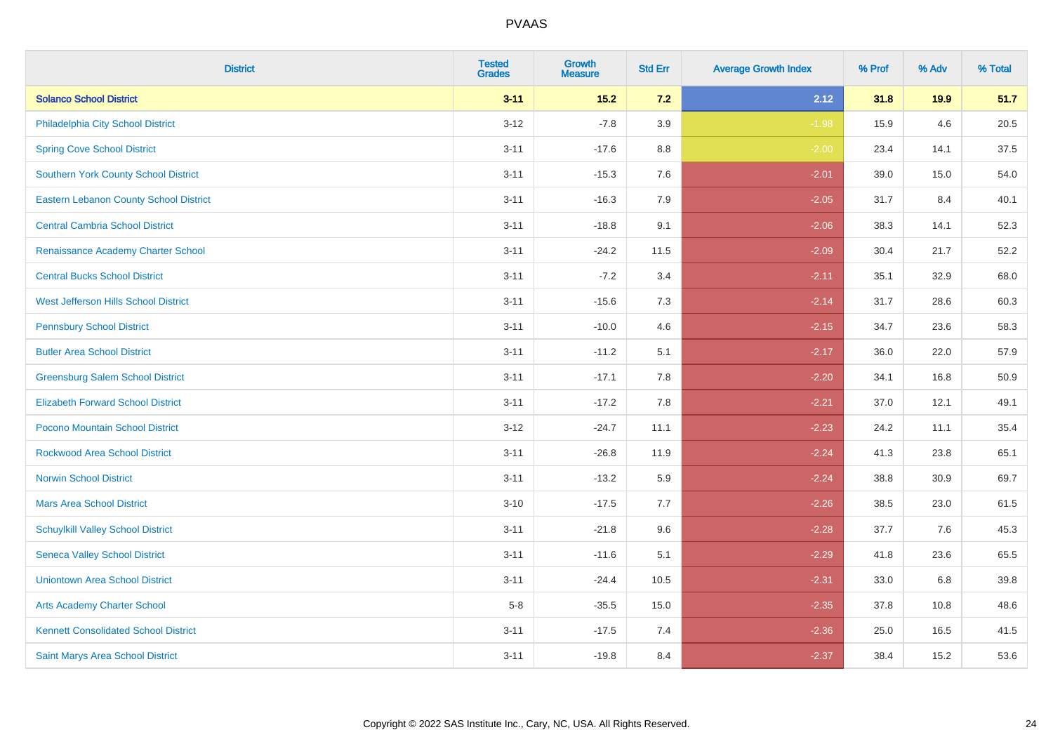| <b>District</b>                               | <b>Tested</b><br><b>Grades</b> | Growth<br><b>Measure</b> | <b>Std Err</b> | <b>Average Growth Index</b> | % Prof | % Adv | % Total |
|-----------------------------------------------|--------------------------------|--------------------------|----------------|-----------------------------|--------|-------|---------|
| <b>Solanco School District</b>                | $3 - 11$                       | $15.2$                   | 7.2            | 2.12                        | 31.8   | 19.9  | 51.7    |
| Philadelphia City School District             | $3 - 12$                       | $-7.8$                   | 3.9            | $-1.98$                     | 15.9   | 4.6   | 20.5    |
| <b>Spring Cove School District</b>            | $3 - 11$                       | $-17.6$                  | 8.8            | $-2.00$                     | 23.4   | 14.1  | 37.5    |
| <b>Southern York County School District</b>   | $3 - 11$                       | $-15.3$                  | 7.6            | $-2.01$                     | 39.0   | 15.0  | 54.0    |
| <b>Eastern Lebanon County School District</b> | $3 - 11$                       | $-16.3$                  | 7.9            | $-2.05$                     | 31.7   | 8.4   | 40.1    |
| <b>Central Cambria School District</b>        | $3 - 11$                       | $-18.8$                  | 9.1            | $-2.06$                     | 38.3   | 14.1  | 52.3    |
| <b>Renaissance Academy Charter School</b>     | $3 - 11$                       | $-24.2$                  | 11.5           | $-2.09$                     | 30.4   | 21.7  | 52.2    |
| <b>Central Bucks School District</b>          | $3 - 11$                       | $-7.2$                   | 3.4            | $-2.11$                     | 35.1   | 32.9  | 68.0    |
| West Jefferson Hills School District          | $3 - 11$                       | $-15.6$                  | 7.3            | $-2.14$                     | 31.7   | 28.6  | 60.3    |
| <b>Pennsbury School District</b>              | $3 - 11$                       | $-10.0$                  | 4.6            | $-2.15$                     | 34.7   | 23.6  | 58.3    |
| <b>Butler Area School District</b>            | $3 - 11$                       | $-11.2$                  | 5.1            | $-2.17$                     | 36.0   | 22.0  | 57.9    |
| <b>Greensburg Salem School District</b>       | $3 - 11$                       | $-17.1$                  | 7.8            | $-2.20$                     | 34.1   | 16.8  | 50.9    |
| <b>Elizabeth Forward School District</b>      | $3 - 11$                       | $-17.2$                  | 7.8            | $-2.21$                     | 37.0   | 12.1  | 49.1    |
| Pocono Mountain School District               | $3 - 12$                       | $-24.7$                  | 11.1           | $-2.23$                     | 24.2   | 11.1  | 35.4    |
| <b>Rockwood Area School District</b>          | $3 - 11$                       | $-26.8$                  | 11.9           | $-2.24$                     | 41.3   | 23.8  | 65.1    |
| <b>Norwin School District</b>                 | $3 - 11$                       | $-13.2$                  | 5.9            | $-2.24$                     | 38.8   | 30.9  | 69.7    |
| <b>Mars Area School District</b>              | $3 - 10$                       | $-17.5$                  | 7.7            | $-2.26$                     | 38.5   | 23.0  | 61.5    |
| <b>Schuylkill Valley School District</b>      | $3 - 11$                       | $-21.8$                  | 9.6            | $-2.28$                     | 37.7   | 7.6   | 45.3    |
| <b>Seneca Valley School District</b>          | $3 - 11$                       | $-11.6$                  | 5.1            | $-2.29$                     | 41.8   | 23.6  | 65.5    |
| <b>Uniontown Area School District</b>         | $3 - 11$                       | $-24.4$                  | 10.5           | $-2.31$                     | 33.0   | 6.8   | 39.8    |
| <b>Arts Academy Charter School</b>            | $5-8$                          | $-35.5$                  | 15.0           | $-2.35$                     | 37.8   | 10.8  | 48.6    |
| <b>Kennett Consolidated School District</b>   | $3 - 11$                       | $-17.5$                  | 7.4            | $-2.36$                     | 25.0   | 16.5  | 41.5    |
| Saint Marys Area School District              | $3 - 11$                       | $-19.8$                  | 8.4            | $-2.37$                     | 38.4   | 15.2  | 53.6    |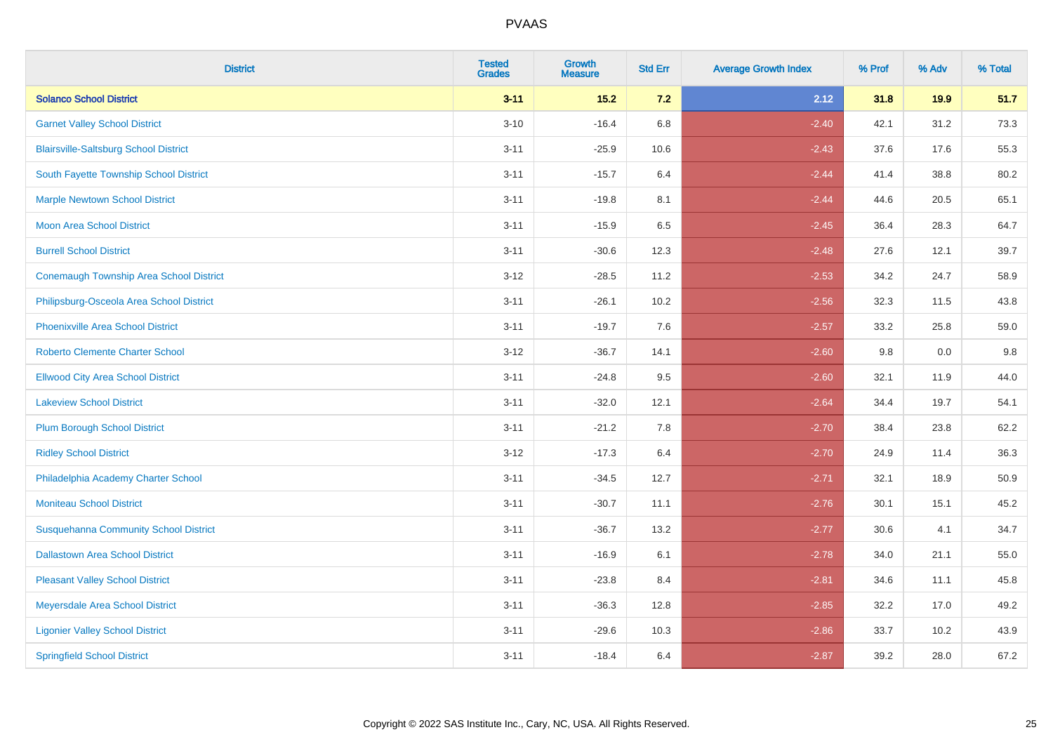| <b>District</b>                                | <b>Tested</b><br><b>Grades</b> | <b>Growth</b><br><b>Measure</b> | <b>Std Err</b> | <b>Average Growth Index</b> | % Prof | % Adv | % Total |
|------------------------------------------------|--------------------------------|---------------------------------|----------------|-----------------------------|--------|-------|---------|
| <b>Solanco School District</b>                 | $3 - 11$                       | $15.2$                          | 7.2            | 2.12                        | 31.8   | 19.9  | 51.7    |
| <b>Garnet Valley School District</b>           | $3 - 10$                       | $-16.4$                         | 6.8            | $-2.40$                     | 42.1   | 31.2  | 73.3    |
| <b>Blairsville-Saltsburg School District</b>   | $3 - 11$                       | $-25.9$                         | 10.6           | $-2.43$                     | 37.6   | 17.6  | 55.3    |
| South Fayette Township School District         | $3 - 11$                       | $-15.7$                         | 6.4            | $-2.44$                     | 41.4   | 38.8  | 80.2    |
| <b>Marple Newtown School District</b>          | $3 - 11$                       | $-19.8$                         | 8.1            | $-2.44$                     | 44.6   | 20.5  | 65.1    |
| <b>Moon Area School District</b>               | $3 - 11$                       | $-15.9$                         | 6.5            | $-2.45$                     | 36.4   | 28.3  | 64.7    |
| <b>Burrell School District</b>                 | $3 - 11$                       | $-30.6$                         | 12.3           | $-2.48$                     | 27.6   | 12.1  | 39.7    |
| <b>Conemaugh Township Area School District</b> | $3 - 12$                       | $-28.5$                         | 11.2           | $-2.53$                     | 34.2   | 24.7  | 58.9    |
| Philipsburg-Osceola Area School District       | $3 - 11$                       | $-26.1$                         | 10.2           | $-2.56$                     | 32.3   | 11.5  | 43.8    |
| <b>Phoenixville Area School District</b>       | $3 - 11$                       | $-19.7$                         | 7.6            | $-2.57$                     | 33.2   | 25.8  | 59.0    |
| <b>Roberto Clemente Charter School</b>         | $3 - 12$                       | $-36.7$                         | 14.1           | $-2.60$                     | 9.8    | 0.0   | 9.8     |
| <b>Ellwood City Area School District</b>       | $3 - 11$                       | $-24.8$                         | 9.5            | $-2.60$                     | 32.1   | 11.9  | 44.0    |
| <b>Lakeview School District</b>                | $3 - 11$                       | $-32.0$                         | 12.1           | $-2.64$                     | 34.4   | 19.7  | 54.1    |
| <b>Plum Borough School District</b>            | $3 - 11$                       | $-21.2$                         | 7.8            | $-2.70$                     | 38.4   | 23.8  | 62.2    |
| <b>Ridley School District</b>                  | $3 - 12$                       | $-17.3$                         | 6.4            | $-2.70$                     | 24.9   | 11.4  | 36.3    |
| Philadelphia Academy Charter School            | $3 - 11$                       | $-34.5$                         | 12.7           | $-2.71$                     | 32.1   | 18.9  | 50.9    |
| <b>Moniteau School District</b>                | $3 - 11$                       | $-30.7$                         | 11.1           | $-2.76$                     | 30.1   | 15.1  | 45.2    |
| <b>Susquehanna Community School District</b>   | $3 - 11$                       | $-36.7$                         | 13.2           | $-2.77$                     | 30.6   | 4.1   | 34.7    |
| <b>Dallastown Area School District</b>         | $3 - 11$                       | $-16.9$                         | 6.1            | $-2.78$                     | 34.0   | 21.1  | 55.0    |
| <b>Pleasant Valley School District</b>         | $3 - 11$                       | $-23.8$                         | 8.4            | $-2.81$                     | 34.6   | 11.1  | 45.8    |
| Meyersdale Area School District                | $3 - 11$                       | $-36.3$                         | 12.8           | $-2.85$                     | 32.2   | 17.0  | 49.2    |
| <b>Ligonier Valley School District</b>         | $3 - 11$                       | $-29.6$                         | 10.3           | $-2.86$                     | 33.7   | 10.2  | 43.9    |
| <b>Springfield School District</b>             | $3 - 11$                       | $-18.4$                         | 6.4            | $-2.87$                     | 39.2   | 28.0  | 67.2    |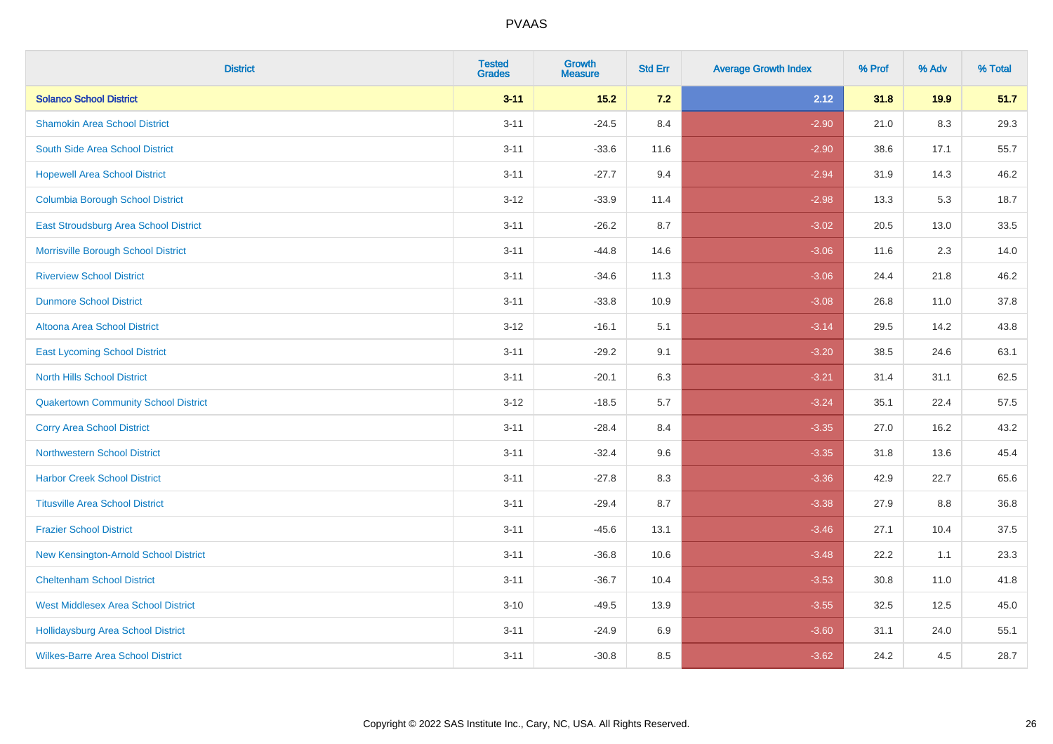| <b>District</b>                             | <b>Tested</b><br><b>Grades</b> | Growth<br><b>Measure</b> | <b>Std Err</b> | <b>Average Growth Index</b> | % Prof | % Adv | % Total |
|---------------------------------------------|--------------------------------|--------------------------|----------------|-----------------------------|--------|-------|---------|
| <b>Solanco School District</b>              | $3 - 11$                       | $15.2$                   | 7.2            | 2.12                        | 31.8   | 19.9  | 51.7    |
| <b>Shamokin Area School District</b>        | $3 - 11$                       | $-24.5$                  | 8.4            | $-2.90$                     | 21.0   | 8.3   | 29.3    |
| South Side Area School District             | $3 - 11$                       | $-33.6$                  | 11.6           | $-2.90$                     | 38.6   | 17.1  | 55.7    |
| <b>Hopewell Area School District</b>        | $3 - 11$                       | $-27.7$                  | 9.4            | $-2.94$                     | 31.9   | 14.3  | 46.2    |
| <b>Columbia Borough School District</b>     | $3 - 12$                       | $-33.9$                  | 11.4           | $-2.98$                     | 13.3   | 5.3   | 18.7    |
| East Stroudsburg Area School District       | $3 - 11$                       | $-26.2$                  | 8.7            | $-3.02$                     | 20.5   | 13.0  | 33.5    |
| Morrisville Borough School District         | $3 - 11$                       | $-44.8$                  | 14.6           | $-3.06$                     | 11.6   | 2.3   | 14.0    |
| <b>Riverview School District</b>            | $3 - 11$                       | $-34.6$                  | 11.3           | $-3.06$                     | 24.4   | 21.8  | 46.2    |
| <b>Dunmore School District</b>              | $3 - 11$                       | $-33.8$                  | 10.9           | $-3.08$                     | 26.8   | 11.0  | 37.8    |
| <b>Altoona Area School District</b>         | $3-12$                         | $-16.1$                  | 5.1            | $-3.14$                     | 29.5   | 14.2  | 43.8    |
| <b>East Lycoming School District</b>        | $3 - 11$                       | $-29.2$                  | 9.1            | $-3.20$                     | 38.5   | 24.6  | 63.1    |
| <b>North Hills School District</b>          | $3 - 11$                       | $-20.1$                  | 6.3            | $-3.21$                     | 31.4   | 31.1  | 62.5    |
| <b>Quakertown Community School District</b> | $3 - 12$                       | $-18.5$                  | 5.7            | $-3.24$                     | 35.1   | 22.4  | 57.5    |
| <b>Corry Area School District</b>           | $3 - 11$                       | $-28.4$                  | 8.4            | $-3.35$                     | 27.0   | 16.2  | 43.2    |
| <b>Northwestern School District</b>         | $3 - 11$                       | $-32.4$                  | 9.6            | $-3.35$                     | 31.8   | 13.6  | 45.4    |
| <b>Harbor Creek School District</b>         | $3 - 11$                       | $-27.8$                  | 8.3            | $-3.36$                     | 42.9   | 22.7  | 65.6    |
| <b>Titusville Area School District</b>      | $3 - 11$                       | $-29.4$                  | 8.7            | $-3.38$                     | 27.9   | 8.8   | 36.8    |
| <b>Frazier School District</b>              | $3 - 11$                       | $-45.6$                  | 13.1           | $-3.46$                     | 27.1   | 10.4  | 37.5    |
| New Kensington-Arnold School District       | $3 - 11$                       | $-36.8$                  | 10.6           | $-3.48$                     | 22.2   | 1.1   | 23.3    |
| <b>Cheltenham School District</b>           | $3 - 11$                       | $-36.7$                  | 10.4           | $-3.53$                     | 30.8   | 11.0  | 41.8    |
| <b>West Middlesex Area School District</b>  | $3 - 10$                       | $-49.5$                  | 13.9           | $-3.55$                     | 32.5   | 12.5  | 45.0    |
| <b>Hollidaysburg Area School District</b>   | $3 - 11$                       | $-24.9$                  | 6.9            | $-3.60$                     | 31.1   | 24.0  | 55.1    |
| <b>Wilkes-Barre Area School District</b>    | $3 - 11$                       | $-30.8$                  | 8.5            | $-3.62$                     | 24.2   | 4.5   | 28.7    |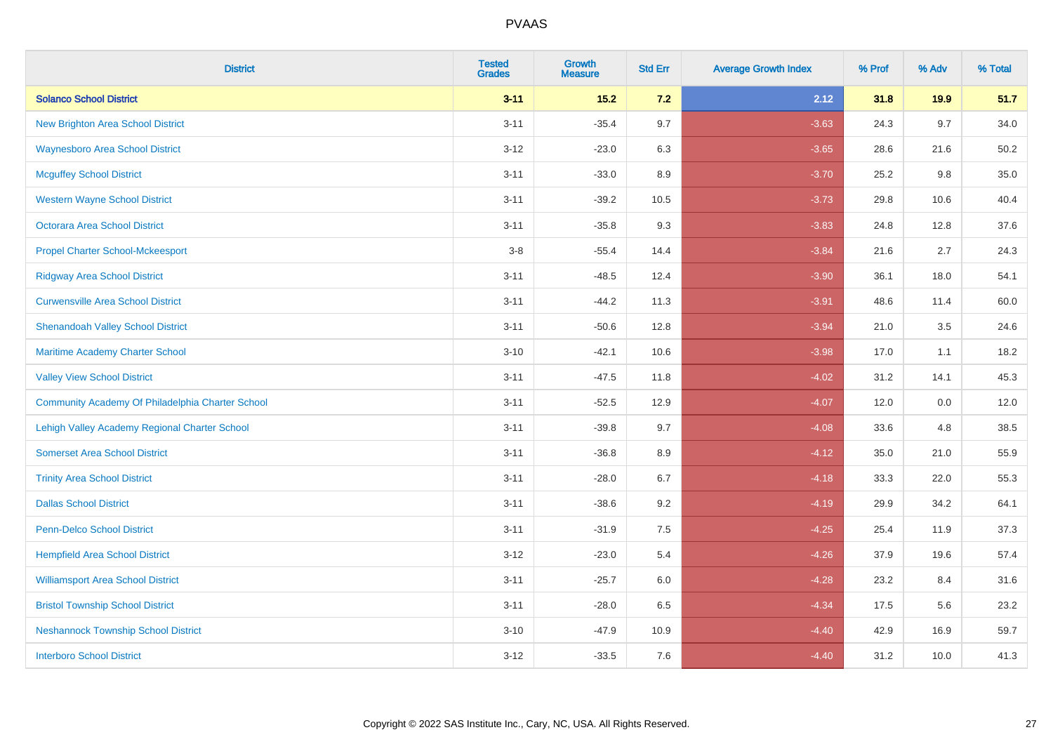| <b>District</b>                                  | <b>Tested</b><br><b>Grades</b> | <b>Growth</b><br><b>Measure</b> | <b>Std Err</b> | <b>Average Growth Index</b> | % Prof | % Adv | % Total |
|--------------------------------------------------|--------------------------------|---------------------------------|----------------|-----------------------------|--------|-------|---------|
| <b>Solanco School District</b>                   | $3 - 11$                       | $15.2$                          | 7.2            | 2.12                        | 31.8   | 19.9  | 51.7    |
| <b>New Brighton Area School District</b>         | $3 - 11$                       | $-35.4$                         | 9.7            | $-3.63$                     | 24.3   | 9.7   | 34.0    |
| <b>Waynesboro Area School District</b>           | $3 - 12$                       | $-23.0$                         | 6.3            | $-3.65$                     | 28.6   | 21.6  | 50.2    |
| <b>Mcguffey School District</b>                  | $3 - 11$                       | $-33.0$                         | 8.9            | $-3.70$                     | 25.2   | 9.8   | 35.0    |
| <b>Western Wayne School District</b>             | $3 - 11$                       | $-39.2$                         | 10.5           | $-3.73$                     | 29.8   | 10.6  | 40.4    |
| <b>Octorara Area School District</b>             | $3 - 11$                       | $-35.8$                         | 9.3            | $-3.83$                     | 24.8   | 12.8  | 37.6    |
| <b>Propel Charter School-Mckeesport</b>          | $3-8$                          | $-55.4$                         | 14.4           | $-3.84$                     | 21.6   | 2.7   | 24.3    |
| <b>Ridgway Area School District</b>              | $3 - 11$                       | $-48.5$                         | 12.4           | $-3.90$                     | 36.1   | 18.0  | 54.1    |
| <b>Curwensville Area School District</b>         | $3 - 11$                       | $-44.2$                         | 11.3           | $-3.91$                     | 48.6   | 11.4  | 60.0    |
| <b>Shenandoah Valley School District</b>         | $3 - 11$                       | $-50.6$                         | 12.8           | $-3.94$                     | 21.0   | 3.5   | 24.6    |
| Maritime Academy Charter School                  | $3 - 10$                       | $-42.1$                         | 10.6           | $-3.98$                     | 17.0   | 1.1   | 18.2    |
| <b>Valley View School District</b>               | $3 - 11$                       | $-47.5$                         | 11.8           | $-4.02$                     | 31.2   | 14.1  | 45.3    |
| Community Academy Of Philadelphia Charter School | $3 - 11$                       | $-52.5$                         | 12.9           | $-4.07$                     | 12.0   | 0.0   | 12.0    |
| Lehigh Valley Academy Regional Charter School    | $3 - 11$                       | $-39.8$                         | 9.7            | $-4.08$                     | 33.6   | 4.8   | 38.5    |
| <b>Somerset Area School District</b>             | $3 - 11$                       | $-36.8$                         | 8.9            | $-4.12$                     | 35.0   | 21.0  | 55.9    |
| <b>Trinity Area School District</b>              | $3 - 11$                       | $-28.0$                         | 6.7            | $-4.18$                     | 33.3   | 22.0  | 55.3    |
| <b>Dallas School District</b>                    | $3 - 11$                       | $-38.6$                         | 9.2            | $-4.19$                     | 29.9   | 34.2  | 64.1    |
| Penn-Delco School District                       | $3 - 11$                       | $-31.9$                         | 7.5            | $-4.25$                     | 25.4   | 11.9  | 37.3    |
| <b>Hempfield Area School District</b>            | $3 - 12$                       | $-23.0$                         | 5.4            | $-4.26$                     | 37.9   | 19.6  | 57.4    |
| <b>Williamsport Area School District</b>         | $3 - 11$                       | $-25.7$                         | 6.0            | $-4.28$                     | 23.2   | 8.4   | 31.6    |
| <b>Bristol Township School District</b>          | $3 - 11$                       | $-28.0$                         | 6.5            | $-4.34$                     | 17.5   | 5.6   | 23.2    |
| <b>Neshannock Township School District</b>       | $3 - 10$                       | $-47.9$                         | 10.9           | $-4.40$                     | 42.9   | 16.9  | 59.7    |
| <b>Interboro School District</b>                 | $3 - 12$                       | $-33.5$                         | 7.6            | $-4.40$                     | 31.2   | 10.0  | 41.3    |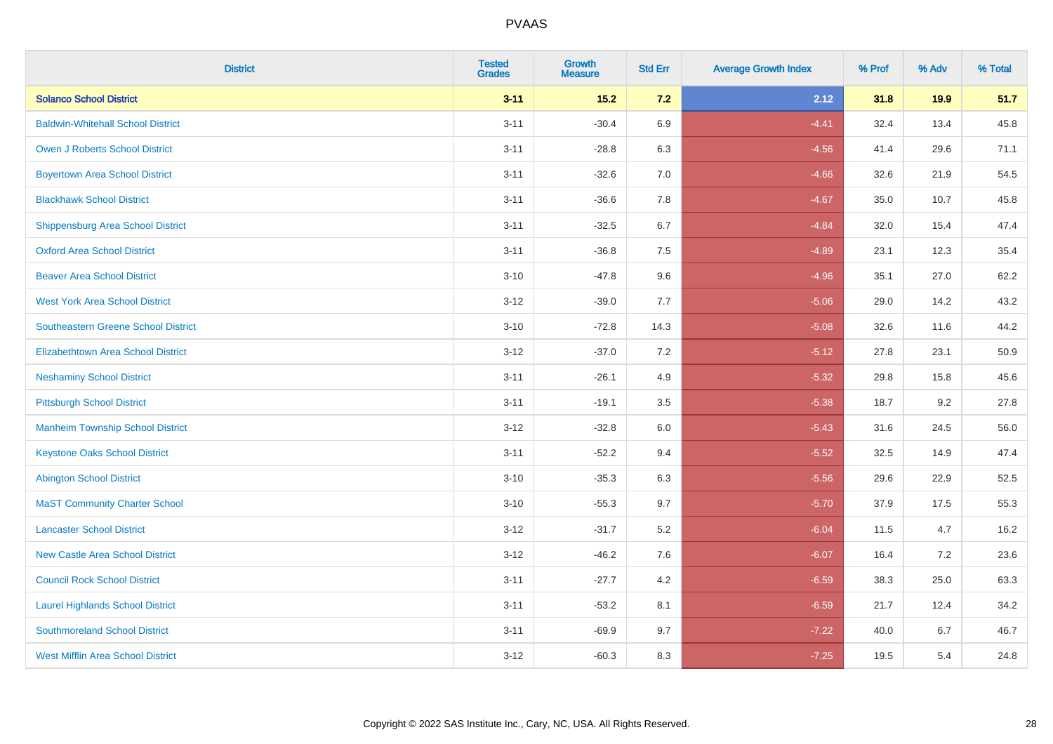| <b>District</b>                            | <b>Tested</b><br><b>Grades</b> | <b>Growth</b><br><b>Measure</b> | <b>Std Err</b> | <b>Average Growth Index</b> | % Prof | % Adv | % Total |
|--------------------------------------------|--------------------------------|---------------------------------|----------------|-----------------------------|--------|-------|---------|
| <b>Solanco School District</b>             | $3 - 11$                       | $15.2$                          | 7.2            | 2.12                        | 31.8   | 19.9  | 51.7    |
| <b>Baldwin-Whitehall School District</b>   | $3 - 11$                       | $-30.4$                         | 6.9            | $-4.41$                     | 32.4   | 13.4  | 45.8    |
| <b>Owen J Roberts School District</b>      | $3 - 11$                       | $-28.8$                         | 6.3            | $-4.56$                     | 41.4   | 29.6  | 71.1    |
| <b>Boyertown Area School District</b>      | $3 - 11$                       | $-32.6$                         | 7.0            | $-4.66$                     | 32.6   | 21.9  | 54.5    |
| <b>Blackhawk School District</b>           | $3 - 11$                       | $-36.6$                         | 7.8            | $-4.67$                     | 35.0   | 10.7  | 45.8    |
| Shippensburg Area School District          | $3 - 11$                       | $-32.5$                         | 6.7            | $-4.84$                     | 32.0   | 15.4  | 47.4    |
| <b>Oxford Area School District</b>         | $3 - 11$                       | $-36.8$                         | $7.5\,$        | $-4.89$                     | 23.1   | 12.3  | 35.4    |
| <b>Beaver Area School District</b>         | $3 - 10$                       | $-47.8$                         | 9.6            | $-4.96$                     | 35.1   | 27.0  | 62.2    |
| <b>West York Area School District</b>      | $3 - 12$                       | $-39.0$                         | 7.7            | $-5.06$                     | 29.0   | 14.2  | 43.2    |
| <b>Southeastern Greene School District</b> | $3 - 10$                       | $-72.8$                         | 14.3           | $-5.08$                     | 32.6   | 11.6  | 44.2    |
| <b>Elizabethtown Area School District</b>  | $3 - 12$                       | $-37.0$                         | 7.2            | $-5.12$                     | 27.8   | 23.1  | 50.9    |
| <b>Neshaminy School District</b>           | $3 - 11$                       | $-26.1$                         | 4.9            | $-5.32$                     | 29.8   | 15.8  | 45.6    |
| <b>Pittsburgh School District</b>          | $3 - 11$                       | $-19.1$                         | 3.5            | $-5.38$                     | 18.7   | 9.2   | 27.8    |
| <b>Manheim Township School District</b>    | $3 - 12$                       | $-32.8$                         | $6.0\,$        | $-5.43$                     | 31.6   | 24.5  | 56.0    |
| <b>Keystone Oaks School District</b>       | $3 - 11$                       | $-52.2$                         | 9.4            | $-5.52$                     | 32.5   | 14.9  | 47.4    |
| <b>Abington School District</b>            | $3 - 10$                       | $-35.3$                         | 6.3            | $-5.56$                     | 29.6   | 22.9  | 52.5    |
| <b>MaST Community Charter School</b>       | $3 - 10$                       | $-55.3$                         | 9.7            | $-5.70$                     | 37.9   | 17.5  | 55.3    |
| <b>Lancaster School District</b>           | $3 - 12$                       | $-31.7$                         | $5.2\,$        | $-6.04$                     | 11.5   | 4.7   | 16.2    |
| <b>New Castle Area School District</b>     | $3 - 12$                       | $-46.2$                         | 7.6            | $-6.07$                     | 16.4   | 7.2   | 23.6    |
| <b>Council Rock School District</b>        | $3 - 11$                       | $-27.7$                         | 4.2            | $-6.59$                     | 38.3   | 25.0  | 63.3    |
| <b>Laurel Highlands School District</b>    | $3 - 11$                       | $-53.2$                         | 8.1            | $-6.59$                     | 21.7   | 12.4  | 34.2    |
| <b>Southmoreland School District</b>       | $3 - 11$                       | $-69.9$                         | 9.7            | $-7.22$                     | 40.0   | 6.7   | 46.7    |
| <b>West Mifflin Area School District</b>   | $3 - 12$                       | $-60.3$                         | 8.3            | $-7.25$                     | 19.5   | 5.4   | 24.8    |